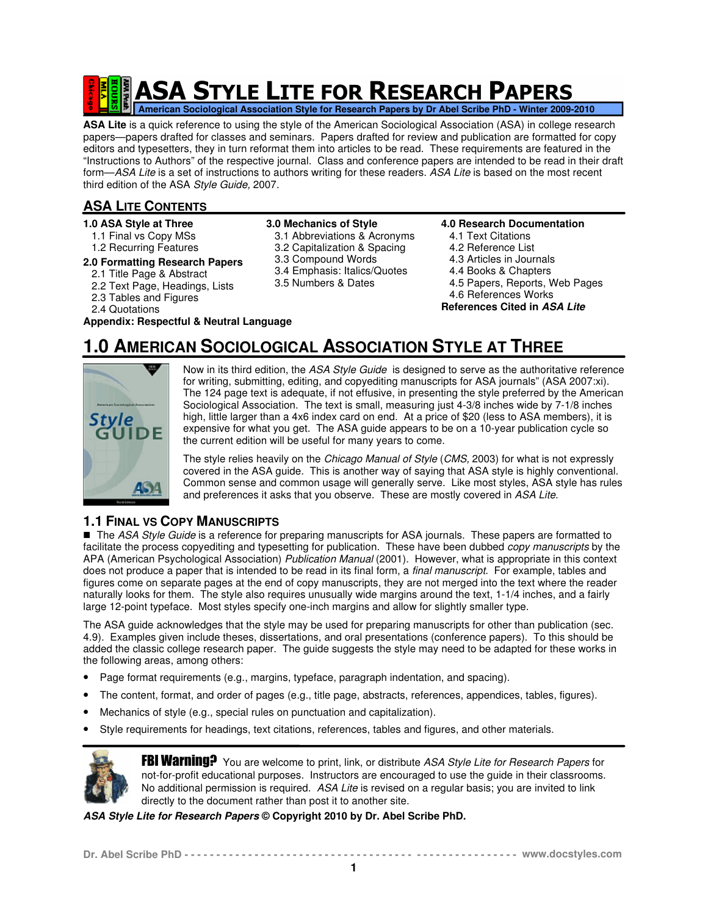# **ASA STYLE LITE FOR RESEARCH PAPERS American Sociological Association Style for Research Papers by Dr Abel Scribe PhD - Winter 2009-2010**

**ASA Lite** is a quick reference to using the style of the American Sociological Association (ASA) in college research papers—papers drafted for classes and seminars. Papers drafted for review and publication are formatted for copy editors and typesetters, they in turn reformat them into articles to be read. These requirements are featured in the "Instructions to Authors" of the respective journal. Class and conference papers are intended to be read in their draft form—ASA Lite is a set of instructions to authors writing for these readers. ASA Lite is based on the most recent third edition of the ASA Style Guide, 2007.

# **ASA LITE CONTENTS**

- **1.0 ASA Style at Three**
- 1.1 Final vs Copy MSs 1.2 Recurring Features
- **2.0 Formatting Research Papers**
- 2.1 Title Page & Abstract
- 2.2 Text Page, Headings, Lists
- 2.3 Tables and Figures
- 2.4 Quotations

**Appendix: Respectful & Neutral Language**

# **3.0 Mechanics of Style**

- 3.1 Abbreviations & Acronyms
- 3.2 Capitalization & Spacing
- 3.3 Compound Words
- 3.4 Emphasis: Italics/Quotes
- 3.5 Numbers & Dates
- **4.0 Research Documentation**
- 4.1 Text Citations
- 4.2 Reference List
- 4.3 Articles in Journals
- 4.4 Books & Chapters
- 4.5 Papers, Reports, Web Pages
- 4.6 References Works

**References Cited in ASA Lite**

# **1.0 AMERICAN SOCIOLOGICAL ASSOCIATION STYLE AT THREE**



Now in its third edition, the ASA Style Guide is designed to serve as the authoritative reference for writing, submitting, editing, and copyediting manuscripts for ASA journals" (ASA 2007:xi). The 124 page text is adequate, if not effusive, in presenting the style preferred by the American Sociological Association. The text is small, measuring just 4-3/8 inches wide by 7-1/8 inches high, little larger than a 4x6 index card on end. At a price of \$20 (less to ASA members), it is expensive for what you get. The ASA guide appears to be on a 10-year publication cycle so the current edition will be useful for many years to come.

The style relies heavily on the Chicago Manual of Style (CMS, 2003) for what is not expressly covered in the ASA guide. This is another way of saying that ASA style is highly conventional. Common sense and common usage will generally serve. Like most styles, ASA style has rules and preferences it asks that you observe. These are mostly covered in ASA Lite.

# **1.1 FINAL VS COPY MANUSCRIPTS**

The ASA Style Guide is a reference for preparing manuscripts for ASA journals. These papers are formatted to facilitate the process copyediting and typesetting for publication. These have been dubbed *copy manuscripts* by the APA (American Psychological Association) Publication Manual (2001). However, what is appropriate in this context does not produce a paper that is intended to be read in its final form, a final manuscript. For example, tables and figures come on separate pages at the end of copy manuscripts, they are not merged into the text where the reader naturally looks for them. The style also requires unusually wide margins around the text, 1-1/4 inches, and a fairly large 12-point typeface. Most styles specify one-inch margins and allow for slightly smaller type.

The ASA guide acknowledges that the style may be used for preparing manuscripts for other than publication (sec. 4.9). Examples given include theses, dissertations, and oral presentations (conference papers). To this should be added the classic college research paper. The guide suggests the style may need to be adapted for these works in the following areas, among others:

- Page format requirements (e.g., margins, typeface, paragraph indentation, and spacing).
- The content, format, and order of pages (e.g., title page, abstracts, references, appendices, tables, figures).
- Mechanics of style (e.g., special rules on punctuation and capitalization).
- Style requirements for headings, text citations, references, tables and figures, and other materials.



**FBI Warning?** You are welcome to print, link, or distribute ASA Style Lite for Research Papers for not-for-profit educational purposes. Instructors are encouraged to use the guide in their classrooms. No additional permission is required. ASA Lite is revised on a regular basis; you are invited to link directly to the document rather than post it to another site.

**ASA Style Lite for Research Papers © Copyright 2010 by Dr. Abel Scribe PhD.**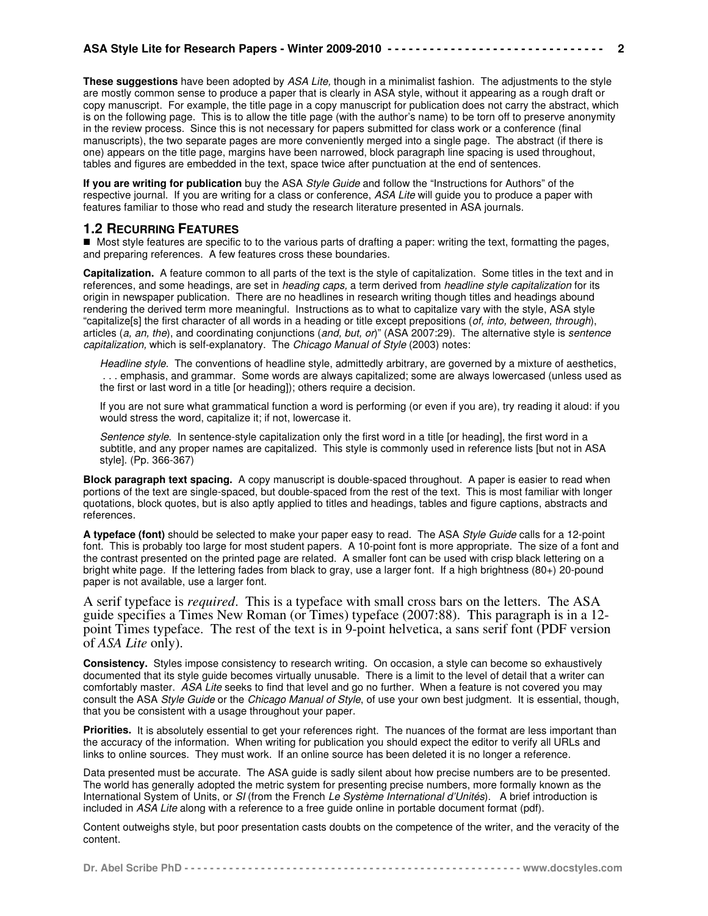**These suggestions** have been adopted by ASA Lite, though in a minimalist fashion. The adjustments to the style are mostly common sense to produce a paper that is clearly in ASA style, without it appearing as a rough draft or copy manuscript. For example, the title page in a copy manuscript for publication does not carry the abstract, which is on the following page. This is to allow the title page (with the author's name) to be torn off to preserve anonymity in the review process. Since this is not necessary for papers submitted for class work or a conference (final manuscripts), the two separate pages are more conveniently merged into a single page. The abstract (if there is one) appears on the title page, margins have been narrowed, block paragraph line spacing is used throughout, tables and figures are embedded in the text, space twice after punctuation at the end of sentences.

**2**

**If you are writing for publication** buy the ASA Style Guide and follow the "Instructions for Authors" of the respective journal. If you are writing for a class or conference, ASA Lite will guide you to produce a paper with features familiar to those who read and study the research literature presented in ASA journals.

# **1.2 RECURRING FEATURES**

 Most style features are specific to to the various parts of drafting a paper: writing the text, formatting the pages, and preparing references. A few features cross these boundaries.

**Capitalization.** A feature common to all parts of the text is the style of capitalization. Some titles in the text and in references, and some headings, are set in heading caps, a term derived from headline style capitalization for its origin in newspaper publication. There are no headlines in research writing though titles and headings abound rendering the derived term more meaningful. Instructions as to what to capitalize vary with the style, ASA style "capitalize[s] the first character of all words in a heading or title except prepositions (of, into, between, through), articles (a, an, the), and coordinating conjunctions (and, but, or)" (ASA 2007:29). The alternative style is sentence capitalization, which is self-explanatory. The Chicago Manual of Style (2003) notes:

Headline style. The conventions of headline style, admittedly arbitrary, are governed by a mixture of aesthetics, . . . emphasis, and grammar. Some words are always capitalized; some are always lowercased (unless used as the first or last word in a title [or heading]); others require a decision.

If you are not sure what grammatical function a word is performing (or even if you are), try reading it aloud: if you would stress the word, capitalize it; if not, lowercase it.

Sentence style. In sentence-style capitalization only the first word in a title [or heading], the first word in a subtitle, and any proper names are capitalized. This style is commonly used in reference lists [but not in ASA style]. (Pp. 366-367)

**Block paragraph text spacing.** A copy manuscript is double-spaced throughout. A paper is easier to read when portions of the text are single-spaced, but double-spaced from the rest of the text. This is most familiar with longer quotations, block quotes, but is also aptly applied to titles and headings, tables and figure captions, abstracts and references.

**A typeface (font)** should be selected to make your paper easy to read. The ASA Style Guide calls for a 12-point font. This is probably too large for most student papers. A 10-point font is more appropriate. The size of a font and the contrast presented on the printed page are related. A smaller font can be used with crisp black lettering on a bright white page. If the lettering fades from black to gray, use a larger font. If a high brightness (80+) 20-pound paper is not available, use a larger font.

A serif typeface is *required*. This is a typeface with small cross bars on the letters. The ASA guide specifies a Times New Roman (or Times) typeface (2007:88). This paragraph is in a 12 point Times typeface. The rest of the text is in 9-point helvetica, a sans serif font (PDF version of *ASA Lite* only).

**Consistency.** Styles impose consistency to research writing. On occasion, a style can become so exhaustively documented that its style guide becomes virtually unusable. There is a limit to the level of detail that a writer can comfortably master. ASA Lite seeks to find that level and go no further. When a feature is not covered you may consult the ASA Style Guide or the Chicago Manual of Style, of use your own best judgment. It is essential, though, that you be consistent with a usage throughout your paper.

**Priorities.** It is absolutely essential to get your references right. The nuances of the format are less important than the accuracy of the information. When writing for publication you should expect the editor to verify all URLs and links to online sources. They must work. If an online source has been deleted it is no longer a reference.

Data presented must be accurate. The ASA guide is sadly silent about how precise numbers are to be presented. The world has generally adopted the metric system for presenting precise numbers, more formally known as the International System of Units, or SI (from the French Le Système International d'Unités). A brief introduction is included in ASA Lite along with a reference to a free guide online in portable document format (pdf).

Content outweighs style, but poor presentation casts doubts on the competence of the writer, and the veracity of the content.

|--|--|--|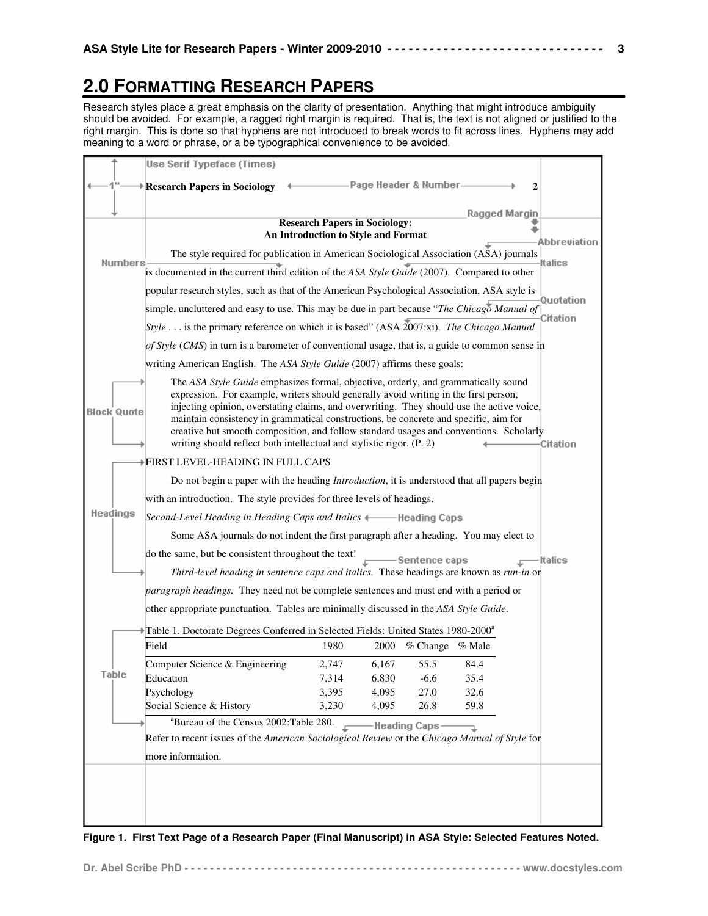# **2.0 FORMATTING RESEARCH PAPERS**

Research styles place a great emphasis on the clarity of presentation. Anything that might introduce ambiguity should be avoided. For example, a ragged right margin is required. That is, the text is not aligned or justified to the right margin. This is done so that hyphens are not introduced to break words to fit across lines. Hyphens may add meaning to a word or phrase, or a be typographical convenience to be avoided.

|                    | Use Serif Typeface (Times)                                                                                                                                                                                                                                                                                                                                                                                                                                                                                                        |                                                                             |       |                      |               |                       |
|--------------------|-----------------------------------------------------------------------------------------------------------------------------------------------------------------------------------------------------------------------------------------------------------------------------------------------------------------------------------------------------------------------------------------------------------------------------------------------------------------------------------------------------------------------------------|-----------------------------------------------------------------------------|-------|----------------------|---------------|-----------------------|
|                    |                                                                                                                                                                                                                                                                                                                                                                                                                                                                                                                                   |                                                                             |       | Page Header & Number |               |                       |
|                    | <b>Research Papers in Sociology</b>                                                                                                                                                                                                                                                                                                                                                                                                                                                                                               |                                                                             |       |                      |               | 2                     |
|                    |                                                                                                                                                                                                                                                                                                                                                                                                                                                                                                                                   |                                                                             |       |                      | Ragged Margin |                       |
|                    |                                                                                                                                                                                                                                                                                                                                                                                                                                                                                                                                   | <b>Research Papers in Sociology:</b><br>An Introduction to Style and Format |       |                      |               | Abbreviation          |
| Numbers            | The style required for publication in American Sociological Association (ASA) journals                                                                                                                                                                                                                                                                                                                                                                                                                                            |                                                                             |       |                      |               | <b>Italics</b>        |
|                    | is documented in the current third edition of the ASA Style Guide (2007). Compared to other                                                                                                                                                                                                                                                                                                                                                                                                                                       |                                                                             |       |                      |               |                       |
|                    | popular research styles, such as that of the American Psychological Association, ASA style is                                                                                                                                                                                                                                                                                                                                                                                                                                     |                                                                             |       |                      |               |                       |
|                    | simple, uncluttered and easy to use. This may be due in part because "The Chicago Manual of                                                                                                                                                                                                                                                                                                                                                                                                                                       |                                                                             |       |                      |               | Quotation<br>Citation |
|                    | Style is the primary reference on which it is based" (ASA 2007:xi). The Chicago Manual                                                                                                                                                                                                                                                                                                                                                                                                                                            |                                                                             |       |                      |               |                       |
|                    | of Style (CMS) in turn is a barometer of conventional usage, that is, a guide to common sense in                                                                                                                                                                                                                                                                                                                                                                                                                                  |                                                                             |       |                      |               |                       |
|                    | writing American English. The ASA Style Guide (2007) affirms these goals:                                                                                                                                                                                                                                                                                                                                                                                                                                                         |                                                                             |       |                      |               |                       |
| <b>Block Quote</b> | The ASA Style Guide emphasizes formal, objective, orderly, and grammatically sound<br>expression. For example, writers should generally avoid writing in the first person,<br>injecting opinion, overstating claims, and overwriting. They should use the active voice,<br>maintain consistency in grammatical constructions, be concrete and specific, aim for<br>creative but smooth composition, and follow standard usages and conventions. Scholarly<br>writing should reflect both intellectual and stylistic rigor. (P. 2) |                                                                             |       |                      |               | Citation              |
|                    | ▶FIRST LEVEL-HEADING IN FULL CAPS                                                                                                                                                                                                                                                                                                                                                                                                                                                                                                 |                                                                             |       |                      |               |                       |
|                    | Do not begin a paper with the heading <i>Introduction</i> , it is understood that all papers begin                                                                                                                                                                                                                                                                                                                                                                                                                                |                                                                             |       |                      |               |                       |
|                    | with an introduction. The style provides for three levels of headings.                                                                                                                                                                                                                                                                                                                                                                                                                                                            |                                                                             |       |                      |               |                       |
| Headings           | Second-Level Heading in Heading Caps and Italics + Heading Caps                                                                                                                                                                                                                                                                                                                                                                                                                                                                   |                                                                             |       |                      |               |                       |
|                    | Some ASA journals do not indent the first paragraph after a heading. You may elect to                                                                                                                                                                                                                                                                                                                                                                                                                                             |                                                                             |       |                      |               |                       |
|                    | do the same, but be consistent throughout the text!                                                                                                                                                                                                                                                                                                                                                                                                                                                                               |                                                                             |       | -Sentence caps       |               | <b>Italics</b>        |
|                    | Third-level heading in sentence caps and italics. These headings are known as run-in or                                                                                                                                                                                                                                                                                                                                                                                                                                           |                                                                             |       |                      |               |                       |
|                    | paragraph headings. They need not be complete sentences and must end with a period or                                                                                                                                                                                                                                                                                                                                                                                                                                             |                                                                             |       |                      |               |                       |
|                    | other appropriate punctuation. Tables are minimally discussed in the ASA Style Guide.                                                                                                                                                                                                                                                                                                                                                                                                                                             |                                                                             |       |                      |               |                       |
|                    | Table 1. Doctorate Degrees Conferred in Selected Fields: United States 1980-2000 <sup>a</sup>                                                                                                                                                                                                                                                                                                                                                                                                                                     |                                                                             |       |                      |               |                       |
|                    | Field                                                                                                                                                                                                                                                                                                                                                                                                                                                                                                                             | 1980                                                                        | 2000  | % Change % Male      |               |                       |
|                    | Computer Science & Engineering                                                                                                                                                                                                                                                                                                                                                                                                                                                                                                    | 2,747                                                                       | 6,167 | 55.5                 | 84.4          |                       |
| Table              | Education                                                                                                                                                                                                                                                                                                                                                                                                                                                                                                                         | 7,314                                                                       | 6,830 | $-6.6$               | 35.4          |                       |
|                    | Psychology                                                                                                                                                                                                                                                                                                                                                                                                                                                                                                                        | 3,395                                                                       | 4,095 | 27.0                 | 32.6          |                       |
|                    | Social Science & History                                                                                                                                                                                                                                                                                                                                                                                                                                                                                                          | 3,230                                                                       | 4,095 | 26.8                 | 59.8          |                       |
|                    | <sup>a</sup> Bureau of the Census 2002: Table 280.                                                                                                                                                                                                                                                                                                                                                                                                                                                                                |                                                                             |       | <b>Heading Caps-</b> | Ľ.            |                       |
|                    | Refer to recent issues of the American Sociological Review or the Chicago Manual of Style for                                                                                                                                                                                                                                                                                                                                                                                                                                     |                                                                             |       |                      |               |                       |
|                    | more information.                                                                                                                                                                                                                                                                                                                                                                                                                                                                                                                 |                                                                             |       |                      |               |                       |
|                    |                                                                                                                                                                                                                                                                                                                                                                                                                                                                                                                                   |                                                                             |       |                      |               |                       |
|                    |                                                                                                                                                                                                                                                                                                                                                                                                                                                                                                                                   |                                                                             |       |                      |               |                       |
|                    |                                                                                                                                                                                                                                                                                                                                                                                                                                                                                                                                   |                                                                             |       |                      |               |                       |
|                    |                                                                                                                                                                                                                                                                                                                                                                                                                                                                                                                                   |                                                                             |       |                      |               |                       |

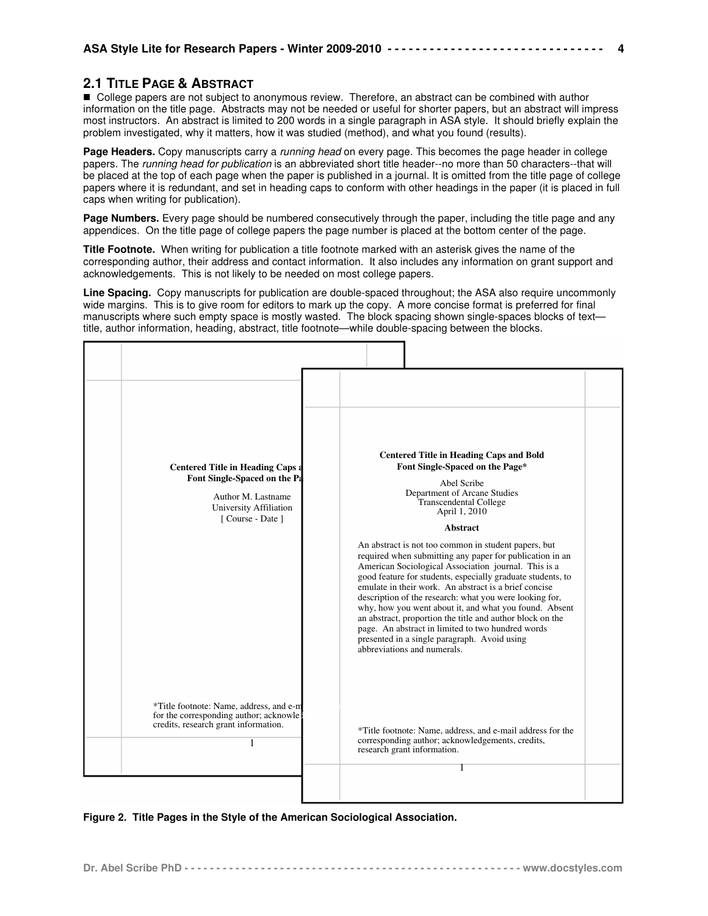# **2.1 TITLE PAGE & ABSTRACT**

■ College papers are not subject to anonymous review. Therefore, an abstract can be combined with author information on the title page. Abstracts may not be needed or useful for shorter papers, but an abstract will impress most instructors. An abstract is limited to 200 words in a single paragraph in ASA style. It should briefly explain the problem investigated, why it matters, how it was studied (method), and what you found (results).

**4**

Page Headers. Copy manuscripts carry a running head on every page. This becomes the page header in college papers. The running head for publication is an abbreviated short title header--no more than 50 characters--that will be placed at the top of each page when the paper is published in a journal. It is omitted from the title page of college papers where it is redundant, and set in heading caps to conform with other headings in the paper (it is placed in full caps when writing for publication).

**Page Numbers.** Every page should be numbered consecutively through the paper, including the title page and any appendices. On the title page of college papers the page number is placed at the bottom center of the page.

**Title Footnote.** When writing for publication a title footnote marked with an asterisk gives the name of the corresponding author, their address and contact information. It also includes any information on grant support and acknowledgements. This is not likely to be needed on most college papers.

**Line Spacing.** Copy manuscripts for publication are double-spaced throughout; the ASA also require uncommonly wide margins. This is to give room for editors to mark up the copy. A more concise format is preferred for final manuscripts where such empty space is mostly wasted. The block spacing shown single-spaces blocks of text title, author information, heading, abstract, title footnote—while double-spacing between the blocks.

| *Title footnote: Name, address, and e-m<br>for the corresponding author; acknowle<br>credits, research grant information.<br>*Title footnote: Name, address, and e-mail address for the<br>corresponding author; acknowledgements, credits,<br>1<br>research grant information. | <b>Centered Title in Heading Caps a</b><br>Font Single-Spaced on the Pa<br>Author M. Lastname<br>University Affiliation<br>[Course - Date] | <b>Centered Title in Heading Caps and Bold</b><br>Font Single-Spaced on the Page*<br>Abel Scribe<br>Department of Arcane Studies<br><b>Transcendental College</b><br>April 1, 2010<br><b>Abstract</b><br>An abstract is not too common in student papers, but<br>required when submitting any paper for publication in an<br>American Sociological Association journal. This is a<br>good feature for students, especially graduate students, to<br>emulate in their work. An abstract is a brief concise<br>description of the research: what you were looking for,<br>why, how you went about it, and what you found. Absent<br>an abstract, proportion the title and author block on the<br>page. An abstract in limited to two hundred words<br>presented in a single paragraph. Avoid using<br>abbreviations and numerals. |
|---------------------------------------------------------------------------------------------------------------------------------------------------------------------------------------------------------------------------------------------------------------------------------|--------------------------------------------------------------------------------------------------------------------------------------------|---------------------------------------------------------------------------------------------------------------------------------------------------------------------------------------------------------------------------------------------------------------------------------------------------------------------------------------------------------------------------------------------------------------------------------------------------------------------------------------------------------------------------------------------------------------------------------------------------------------------------------------------------------------------------------------------------------------------------------------------------------------------------------------------------------------------------------|
|                                                                                                                                                                                                                                                                                 |                                                                                                                                            |                                                                                                                                                                                                                                                                                                                                                                                                                                                                                                                                                                                                                                                                                                                                                                                                                                 |

**Figure 2. Title Pages in the Style of the American Sociological Association.**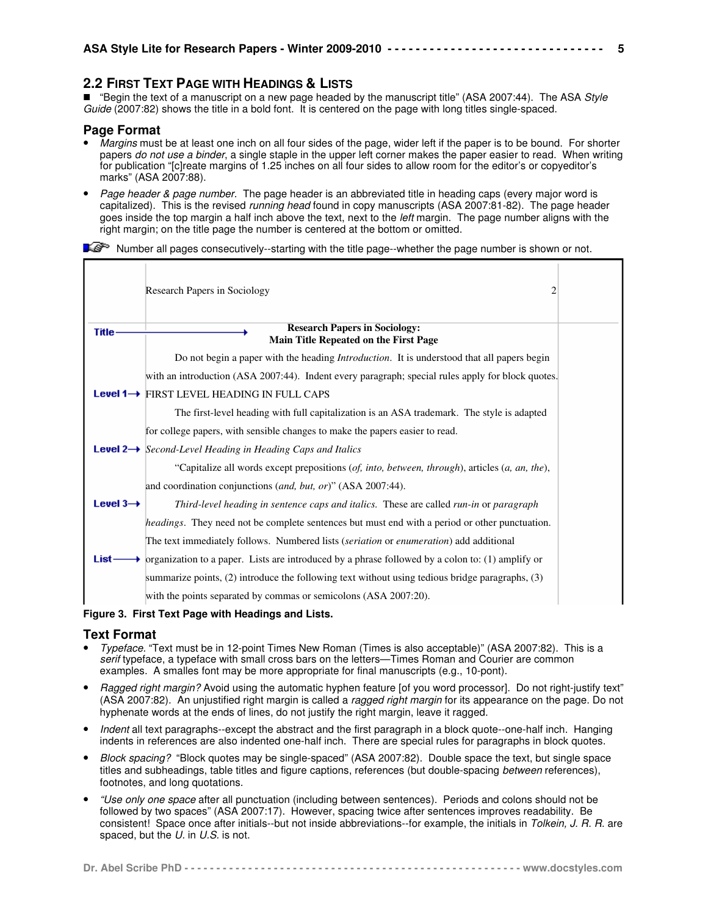# **2.2 FIRST TEXT PAGE WITH HEADINGS & LISTS**

■ "Begin the text of a manuscript on a new page headed by the manuscript title" (ASA 2007:44). The ASA Style Guide (2007:82) shows the title in a bold font. It is centered on the page with long titles single-spaced.

## **Page Format**

- Margins must be at least one inch on all four sides of the page, wider left if the paper is to be bound. For shorter papers do not use a binder, a single staple in the upper left corner makes the paper easier to read. When writing for publication "[c]reate margins of 1.25 inches on all four sides to allow room for the editor's or copyeditor's marks" (ASA 2007:88).
- Page header & page number. The page header is an abbreviated title in heading caps (every major word is capitalized). This is the revised running head found in copy manuscripts (ASA 2007:81-82). The page header goes inside the top margin a half inch above the text, next to the *left* margin. The page number aligns with the right margin; on the title page the number is centered at the bottom or omitted.

 $\mathbb{R}^{\mathbb{S}^{\infty}}$  Number all pages consecutively--starting with the title page--whether the page number is shown or not.

|                      | Research Papers in Sociology<br>2                                                                              |  |
|----------------------|----------------------------------------------------------------------------------------------------------------|--|
| <b>Title</b>         | <b>Research Papers in Sociology:</b><br>Main Title Repeated on the First Page                                  |  |
|                      | Do not begin a paper with the heading <i>Introduction</i> . It is understood that all papers begin             |  |
|                      | with an introduction (ASA 2007:44). Indent every paragraph; special rules apply for block quotes.              |  |
|                      | Level 1→ FIRST LEVEL HEADING IN FULL CAPS                                                                      |  |
|                      | The first-level heading with full capitalization is an ASA trademark. The style is adapted                     |  |
|                      | for college papers, with sensible changes to make the papers easier to read.                                   |  |
|                      | <b>Level 2</b> Second-Level Heading in Heading Caps and Italics                                                |  |
|                      | "Capitalize all words except prepositions $(of, into, between, through)$ , articles $(a, an, the)$ ,           |  |
|                      | and coordination conjunctions (and, but, or)" (ASA 2007:44).                                                   |  |
| Level $3\rightarrow$ | Third-level heading in sentence caps and italics. These are called run-in or paragraph                         |  |
|                      | <i>headings</i> . They need not be complete sentences but must end with a period or other punctuation.         |  |
|                      | The text immediately follows. Numbered lists (seriation or enumeration) add additional                         |  |
| List-                | $\rightarrow$ organization to a paper. Lists are introduced by a phrase followed by a colon to: (1) amplify or |  |
|                      | summarize points, (2) introduce the following text without using tedious bridge paragraphs, (3)                |  |
|                      | with the points separated by commas or semicolons (ASA 2007:20).                                               |  |

#### **Figure 3. First Text Page with Headings and Lists.**

## **Text Format**

- Typeface. "Text must be in 12-point Times New Roman (Times is also acceptable)" (ASA 2007:82). This is a serif typeface, a typeface with small cross bars on the letters—Times Roman and Courier are common examples. A smalles font may be more appropriate for final manuscripts (e.g., 10-pont).
- Ragged right margin? Avoid using the automatic hyphen feature [of you word processor]. Do not right-justify text" (ASA 2007:82). An unjustified right margin is called a ragged right margin for its appearance on the page. Do not hyphenate words at the ends of lines, do not justify the right margin, leave it ragged.
- Indent all text paragraphs--except the abstract and the first paragraph in a block quote--one-half inch. Hanging indents in references are also indented one-half inch. There are special rules for paragraphs in block quotes.
- Block spacing? "Block quotes may be single-spaced" (ASA 2007:82). Double space the text, but single space titles and subheadings, table titles and figure captions, references (but double-spacing between references), footnotes, and long quotations.
- "Use only one space after all punctuation (including between sentences). Periods and colons should not be followed by two spaces" (ASA 2007:17). However, spacing twice after sentences improves readability. Be consistent! Space once after initials--but not inside abbreviations--for example, the initials in Tolkein, J. R. R. are spaced, but the U. in U.S. is not.

**5**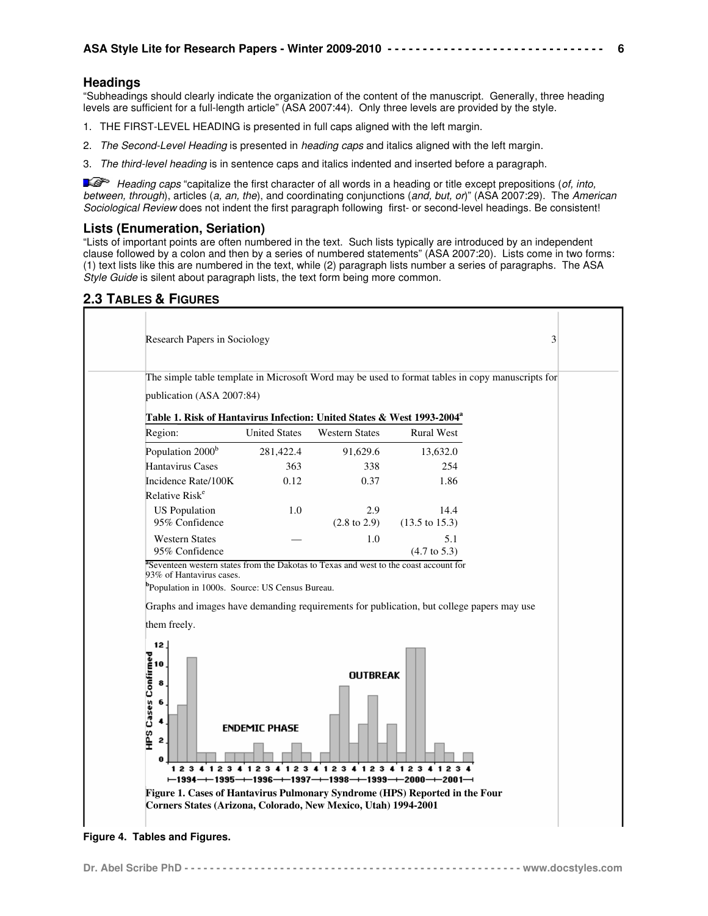## **Headings**

"Subheadings should clearly indicate the organization of the content of the manuscript. Generally, three heading levels are sufficient for a full-length article" (ASA 2007:44). Only three levels are provided by the style.

- 1. THE FIRST-LEVEL HEADING is presented in full caps aligned with the left margin.
- 2. The Second-Level Heading is presented in heading caps and italics aligned with the left margin.
- 3. The third-level heading is in sentence caps and italics indented and inserted before a paragraph.

Heading caps "capitalize the first character of all words in a heading or title except prepositions (of, into, between, through), articles (a, an, the), and coordinating conjunctions (and, but, or)" (ASA 2007:29). The American Sociological Review does not indent the first paragraph following first- or second-level headings. Be consistent!

## **Lists (Enumeration, Seriation)**

"Lists of important points are often numbered in the text. Such lists typically are introduced by an independent clause followed by a colon and then by a series of numbered statements" (ASA 2007:20). Lists come in two forms: (1) text lists like this are numbered in the text, while (2) paragraph lists number a series of paragraphs. The ASA Style Guide is silent about paragraph lists, the text form being more common.

# **2.3 TABLES & FIGURES**



**Figure 4. Tables and Figures.**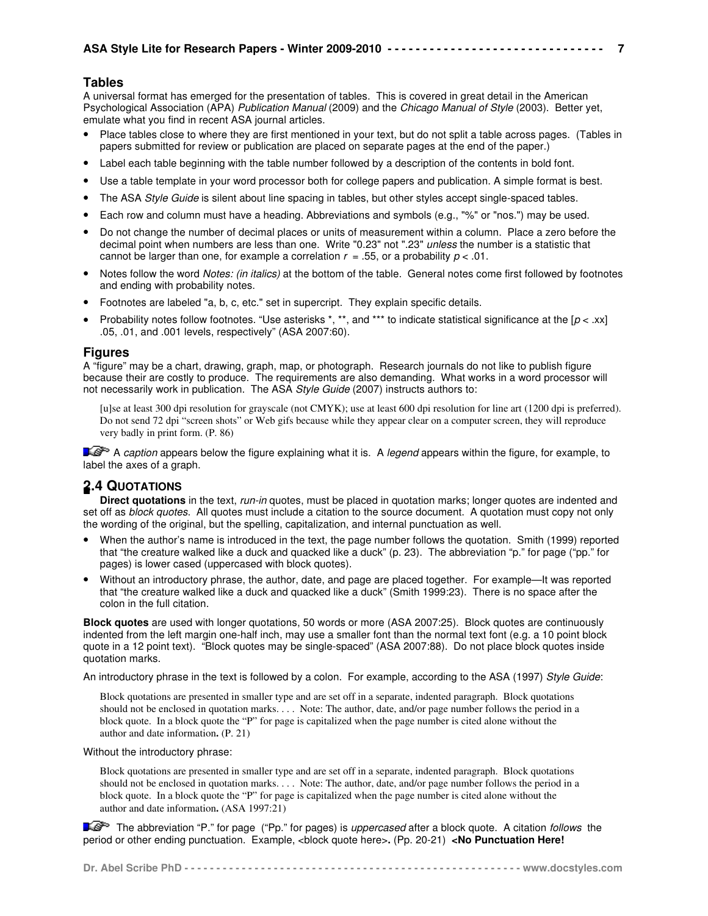## **Tables**

A universal format has emerged for the presentation of tables. This is covered in great detail in the American Psychological Association (APA) Publication Manual (2009) and the Chicago Manual of Style (2003). Better yet, emulate what you find in recent ASA journal articles.

• Place tables close to where they are first mentioned in your text, but do not split a table across pages. (Tables in papers submitted for review or publication are placed on separate pages at the end of the paper.)

**7**

- Label each table beginning with the table number followed by a description of the contents in bold font.
- Use a table template in your word processor both for college papers and publication. A simple format is best.
- The ASA Style Guide is silent about line spacing in tables, but other styles accept single-spaced tables.
- Each row and column must have a heading. Abbreviations and symbols (e.g., "%" or "nos.") may be used.
- Do not change the number of decimal places or units of measurement within a column. Place a zero before the decimal point when numbers are less than one. Write "0.23" not ".23" *unless* the number is a statistic that cannot be larger than one, for example a correlation  $r = .55$ , or a probability  $p < .01$ .
- Notes follow the word Notes: (in italics) at the bottom of the table. General notes come first followed by footnotes and ending with probability notes.
- Footnotes are labeled "a, b, c, etc." set in supercript. They explain specific details.
- Probability notes follow footnotes. "Use asterisks  $*$ ,  $**$ , and  $***$  to indicate statistical significance at the  $[p \prec .xx]$ .05, .01, and .001 levels, respectively" (ASA 2007:60).

## **Figures**

A "figure" may be a chart, drawing, graph, map, or photograph. Research journals do not like to publish figure because their are costly to produce. The requirements are also demanding. What works in a word processor will not necessarily work in publication. The ASA Style Guide (2007) instructs authors to:

[u]se at least 300 dpi resolution for grayscale (not CMYK); use at least 600 dpi resolution for line art (1200 dpi is preferred). Do not send 72 dpi "screen shots" or Web gifs because while they appear clear on a computer screen, they will reproduce very badly in print form. (P. 86)

 $\blacktriangleright$  A caption appears below the figure explaining what it is. A legend appears within the figure, for example, to label the axes of a graph.

# **2.4 QUOTATIONS**

**Direct quotations** in the text, run-in quotes, must be placed in quotation marks; longer quotes are indented and set off as *block quotes*. All quotes must include a citation to the source document. A quotation must copy not only the wording of the original, but the spelling, capitalization, and internal punctuation as well.

- When the author's name is introduced in the text, the page number follows the quotation. Smith (1999) reported that "the creature walked like a duck and quacked like a duck" (p. 23). The abbreviation "p." for page ("pp." for pages) is lower cased (uppercased with block quotes).
- Without an introductory phrase, the author, date, and page are placed together. For example—It was reported that "the creature walked like a duck and quacked like a duck" (Smith 1999:23). There is no space after the colon in the full citation.

**Block quotes** are used with longer quotations, 50 words or more (ASA 2007:25). Block quotes are continuously indented from the left margin one-half inch, may use a smaller font than the normal text font (e.g. a 10 point block quote in a 12 point text). "Block quotes may be single-spaced" (ASA 2007:88). Do not place block quotes inside quotation marks.

An introductory phrase in the text is followed by a colon. For example, according to the ASA (1997) Style Guide:

Block quotations are presented in smaller type and are set off in a separate, indented paragraph. Block quotations should not be enclosed in quotation marks. . . . Note: The author, date, and/or page number follows the period in a block quote. In a block quote the "P" for page is capitalized when the page number is cited alone without the author and date information**.** (P. 21)

Without the introductory phrase:

Block quotations are presented in smaller type and are set off in a separate, indented paragraph. Block quotations should not be enclosed in quotation marks. . . . Note: The author, date, and/or page number follows the period in a block quote. In a block quote the "P" for page is capitalized when the page number is cited alone without the author and date information**.** (ASA 1997:21)

The abbreviation "P." for page ("Pp." for pages) is *uppercased* after a block quote. A citation follows the period or other ending punctuation. Example, <block quote here>**.** (Pp. 20-21) **<No Punctuation Here!**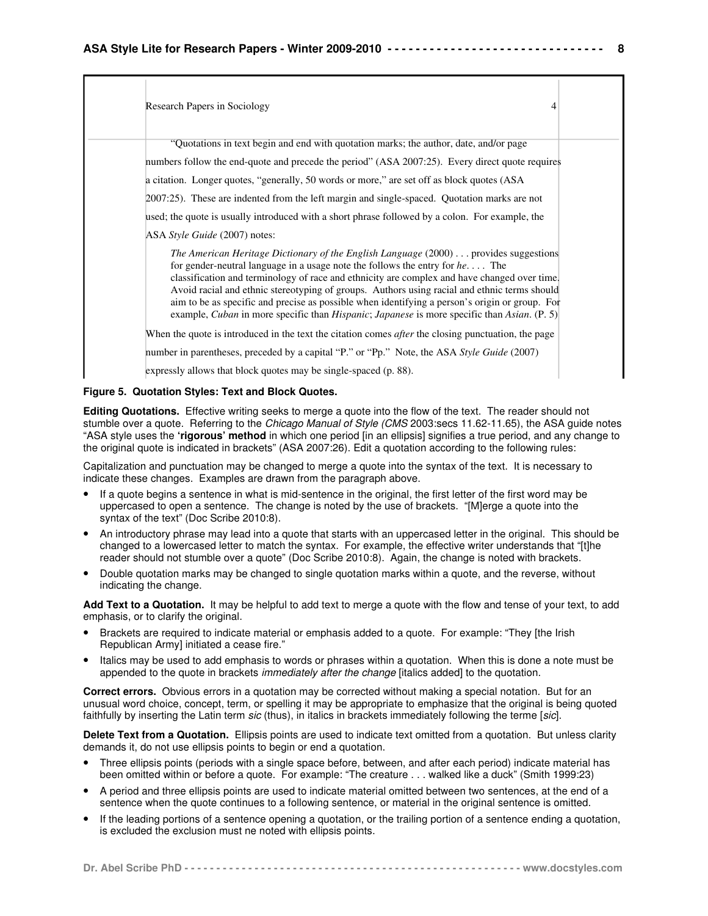| Research Papers in Sociology                                                                                                                                                                                                                                                                                                                                                                                                                                                                                                                                                            | 4 |
|-----------------------------------------------------------------------------------------------------------------------------------------------------------------------------------------------------------------------------------------------------------------------------------------------------------------------------------------------------------------------------------------------------------------------------------------------------------------------------------------------------------------------------------------------------------------------------------------|---|
| "Quotations in text begin and end with quotation marks; the author, date, and/or page<br>numbers follow the end-quote and precede the period" (ASA 2007:25). Every direct quote requires<br>a citation. Longer quotes, "generally, 50 words or more," are set off as block quotes (ASA)<br>2007:25). These are indented from the left margin and single-spaced. Quotation marks are not                                                                                                                                                                                                 |   |
| used; the quote is usually introduced with a short phrase followed by a colon. For example, the<br>ASA Style Guide (2007) notes:                                                                                                                                                                                                                                                                                                                                                                                                                                                        |   |
| The American Heritage Dictionary of the English Language $(2000) \dots$ provides suggestions<br>for gender-neutral language in a usage note the follows the entry for $he \dots$ . The<br>classification and terminology of race and ethnicity are complex and have changed over time.<br>Avoid racial and ethnic stereotyping of groups. Authors using racial and ethnic terms should<br>aim to be as specific and precise as possible when identifying a person's origin or group. For<br>example, Cuban in more specific than Hispanic; Japanese is more specific than Asian. (P. 5) |   |
| When the quote is introduced in the text the citation comes <i>after</i> the closing punctuation, the page<br>number in parentheses, preceded by a capital "P." or "Pp." Note, the ASA Style Guide (2007)                                                                                                                                                                                                                                                                                                                                                                               |   |
| expressly allows that block quotes may be single-spaced (p. 88).                                                                                                                                                                                                                                                                                                                                                                                                                                                                                                                        |   |

### **Figure 5. Quotation Styles: Text and Block Quotes.**

**Editing Quotations.** Effective writing seeks to merge a quote into the flow of the text. The reader should not stumble over a quote. Referring to the Chicago Manual of Style (CMS 2003:secs 11.62-11.65), the ASA guide notes "ASA style uses the **'rigorous' method** in which one period [in an ellipsis] signifies a true period, and any change to the original quote is indicated in brackets" (ASA 2007:26). Edit a quotation according to the following rules:

Capitalization and punctuation may be changed to merge a quote into the syntax of the text. It is necessary to indicate these changes. Examples are drawn from the paragraph above.

- If a quote begins a sentence in what is mid-sentence in the original, the first letter of the first word may be uppercased to open a sentence. The change is noted by the use of brackets. "[M]erge a quote into the syntax of the text" (Doc Scribe 2010:8).
- An introductory phrase may lead into a quote that starts with an uppercased letter in the original. This should be changed to a lowercased letter to match the syntax. For example, the effective writer understands that "[t]he reader should not stumble over a quote" (Doc Scribe 2010:8). Again, the change is noted with brackets.
- Double quotation marks may be changed to single quotation marks within a quote, and the reverse, without indicating the change.

**Add Text to a Quotation.** It may be helpful to add text to merge a quote with the flow and tense of your text, to add emphasis, or to clarify the original.

- Brackets are required to indicate material or emphasis added to a quote. For example: "They [the Irish Republican Army] initiated a cease fire."
- Italics may be used to add emphasis to words or phrases within a quotation. When this is done a note must be appended to the quote in brackets *immediately after the change* [italics added] to the quotation.

**Correct errors.** Obvious errors in a quotation may be corrected without making a special notation. But for an unusual word choice, concept, term, or spelling it may be appropriate to emphasize that the original is being quoted faithfully by inserting the Latin term sic (thus), in italics in brackets immediately following the terme [sic].

**Delete Text from a Quotation.** Ellipsis points are used to indicate text omitted from a quotation. But unless clarity demands it, do not use ellipsis points to begin or end a quotation.

- Three ellipsis points (periods with a single space before, between, and after each period) indicate material has been omitted within or before a quote. For example: "The creature . . . walked like a duck" (Smith 1999:23)
- A period and three ellipsis points are used to indicate material omitted between two sentences, at the end of a sentence when the quote continues to a following sentence, or material in the original sentence is omitted.
- If the leading portions of a sentence opening a quotation, or the trailing portion of a sentence ending a quotation, is excluded the exclusion must ne noted with ellipsis points.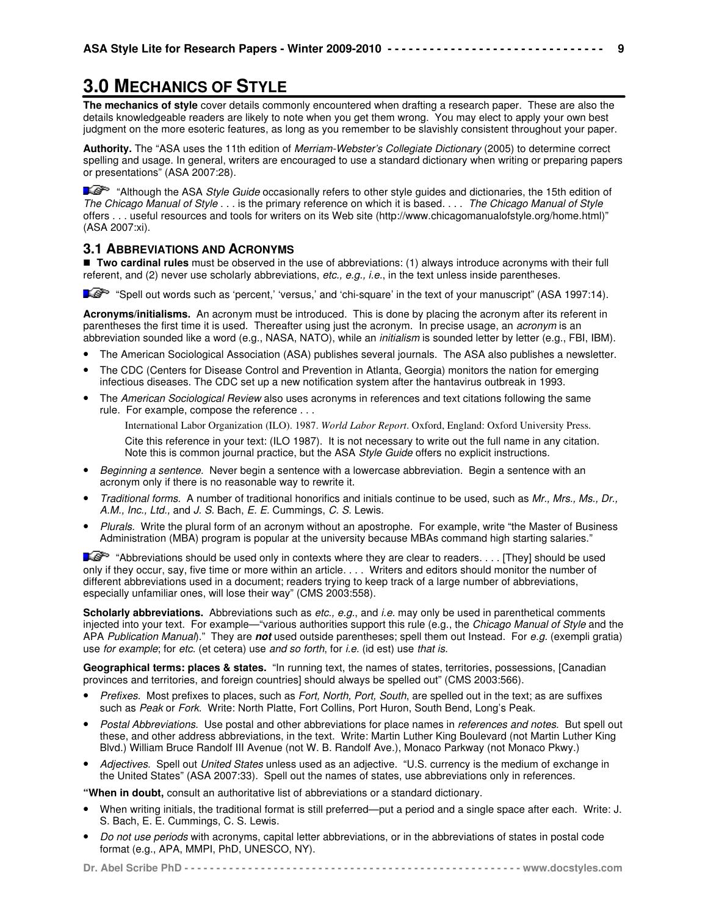# **3.0 MECHANICS OF STYLE**

**The mechanics of style** cover details commonly encountered when drafting a research paper. These are also the details knowledgeable readers are likely to note when you get them wrong. You may elect to apply your own best judgment on the more esoteric features, as long as you remember to be slavishly consistent throughout your paper.

**Authority.** The "ASA uses the 11th edition of Merriam-Webster's Collegiate Dictionary (2005) to determine correct spelling and usage. In general, writers are encouraged to use a standard dictionary when writing or preparing papers or presentations" (ASA 2007:28).

"Although the ASA Style Guide occasionally refers to other style guides and dictionaries, the 15th edition of The Chicago Manual of Style . . . is the primary reference on which it is based. . . . The Chicago Manual of Style offers . . . useful resources and tools for writers on its Web site (http://www.chicagomanualofstyle.org/home.html)" (ASA 2007:xi).

## **3.1 ABBREVIATIONS AND ACRONYMS**

 **Two cardinal rules** must be observed in the use of abbreviations: (1) always introduce acronyms with their full referent, and (2) never use scholarly abbreviations, etc., e.g., *i.e.*, in the text unless inside parentheses.

"Spell out words such as 'percent,' 'versus,' and 'chi-square' in the text of your manuscript" (ASA 1997:14).

**Acronyms/initialisms.** An acronym must be introduced. This is done by placing the acronym after its referent in parentheses the first time it is used. Thereafter using just the acronym. In precise usage, an acronym is an abbreviation sounded like a word (e.g., NASA, NATO), while an *initialism* is sounded letter by letter (e.g., FBI, IBM).

- The American Sociological Association (ASA) publishes several journals. The ASA also publishes a newsletter.
- The CDC (Centers for Disease Control and Prevention in Atlanta, Georgia) monitors the nation for emerging infectious diseases. The CDC set up a new notification system after the hantavirus outbreak in 1993.
- The American Sociological Review also uses acronyms in references and text citations following the same rule. For example, compose the reference . . .

International Labor Organization (ILO). 1987. *World Labor Report*. Oxford, England: Oxford University Press.

Cite this reference in your text: (ILO 1987). It is not necessary to write out the full name in any citation. Note this is common journal practice, but the ASA Style Guide offers no explicit instructions.

- Beginning a sentence. Never begin a sentence with a lowercase abbreviation. Begin a sentence with an acronym only if there is no reasonable way to rewrite it.
- Traditional forms. A number of traditional honorifics and initials continue to be used, such as Mr., Mrs., Ms., Dr., A.M., Inc., Ltd., and J. S. Bach, E. E. Cummings, C. S. Lewis.
- Plurals. Write the plural form of an acronym without an apostrophe. For example, write "the Master of Business Administration (MBA) program is popular at the university because MBAs command high starting salaries."

 "Abbreviations should be used only in contexts where they are clear to readers. . . . [They] should be used only if they occur, say, five time or more within an article. . . . Writers and editors should monitor the number of different abbreviations used in a document; readers trying to keep track of a large number of abbreviations, especially unfamiliar ones, will lose their way" (CMS 2003:558).

Scholarly abbreviations. Abbreviations such as etc., e.g., and *i.e.* may only be used in parenthetical comments injected into your text. For example—"various authorities support this rule (e.g., the Chicago Manual of Style and the APA Publication Manual)." They are **not** used outside parentheses; spell them out Instead. For e.g. (exempli gratia) use for example; for etc. (et cetera) use and so forth, for i.e. (id est) use that is.

**Geographical terms: places & states.** "In running text, the names of states, territories, possessions, [Canadian provinces and territories, and foreign countries] should always be spelled out" (CMS 2003:566).

- Prefixes. Most prefixes to places, such as Fort, North, Port, South, are spelled out in the text; as are suffixes such as Peak or Fork. Write: North Platte, Fort Collins, Port Huron, South Bend, Long's Peak.
- Postal Abbreviations. Use postal and other abbreviations for place names in references and notes. But spell out these, and other address abbreviations, in the text. Write: Martin Luther King Boulevard (not Martin Luther King Blvd.) William Bruce Randolf III Avenue (not W. B. Randolf Ave.), Monaco Parkway (not Monaco Pkwy.)
- Adjectives. Spell out United States unless used as an adjective. "U.S. currency is the medium of exchange in the United States" (ASA 2007:33). Spell out the names of states, use abbreviations only in references.

**"When in doubt,** consult an authoritative list of abbreviations or a standard dictionary.

- When writing initials, the traditional format is still preferred—put a period and a single space after each. Write: J. S. Bach, E. E. Cummings, C. S. Lewis.
- Do not use periods with acronyms, capital letter abbreviations, or in the abbreviations of states in postal code format (e.g., APA, MMPI, PhD, UNESCO, NY).

**9**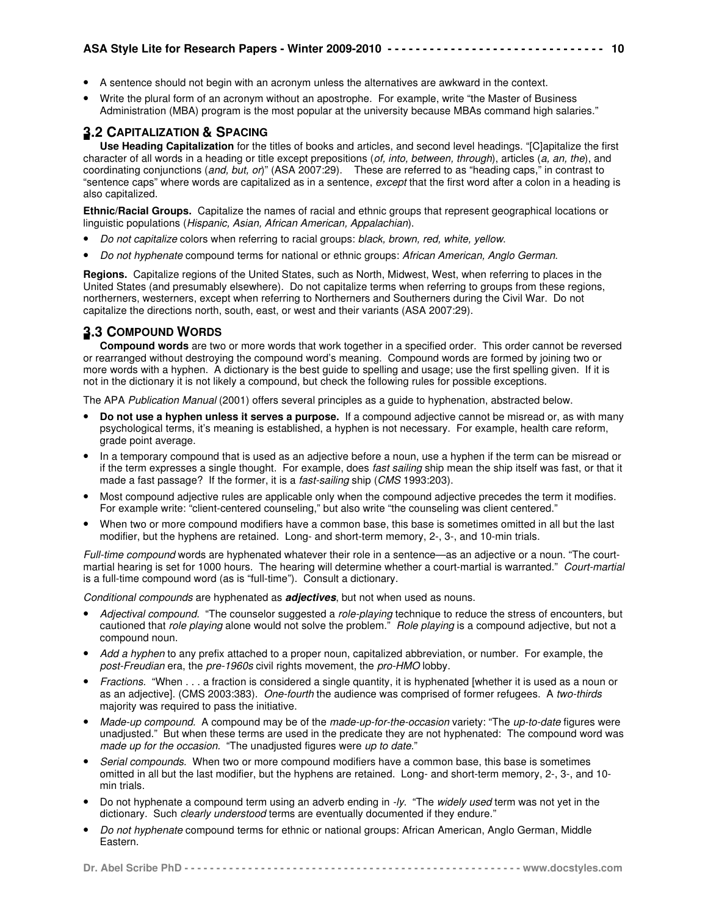- A sentence should not begin with an acronym unless the alternatives are awkward in the context.
- Write the plural form of an acronym without an apostrophe. For example, write "the Master of Business Administration (MBA) program is the most popular at the university because MBAs command high salaries."

# **3.2 CAPITALIZATION & SPACING**

**Use Heading Capitalization** for the titles of books and articles, and second level headings. "[C]apitalize the first character of all words in a heading or title except prepositions (of, into, between, through), articles (a, an, the), and coordinating conjunctions (and, but, or)" (ASA 2007:29). These are referred to as "heading caps," in contrast to "sentence caps" where words are capitalized as in a sentence, except that the first word after a colon in a heading is also capitalized.

**Ethnic/Racial Groups.** Capitalize the names of racial and ethnic groups that represent geographical locations or linguistic populations (Hispanic, Asian, African American, Appalachian).

- Do not capitalize colors when referring to racial groups: black, brown, red, white, yellow.
- Do not hyphenate compound terms for national or ethnic groups: African American, Anglo German.

**Regions.** Capitalize regions of the United States, such as North, Midwest, West, when referring to places in the United States (and presumably elsewhere). Do not capitalize terms when referring to groups from these regions, northerners, westerners, except when referring to Northerners and Southerners during the Civil War. Do not capitalize the directions north, south, east, or west and their variants (ASA 2007:29).

# **3.3 COMPOUND WORDS**

**Compound words** are two or more words that work together in a specified order. This order cannot be reversed or rearranged without destroying the compound word's meaning. Compound words are formed by joining two or more words with a hyphen. A dictionary is the best guide to spelling and usage; use the first spelling given. If it is not in the dictionary it is not likely a compound, but check the following rules for possible exceptions.

The APA Publication Manual (2001) offers several principles as a guide to hyphenation, abstracted below.

- **Do not use a hyphen unless it serves a purpose.** If a compound adjective cannot be misread or, as with many psychological terms, it's meaning is established, a hyphen is not necessary. For example, health care reform, grade point average.
- In a temporary compound that is used as an adjective before a noun, use a hyphen if the term can be misread or if the term expresses a single thought. For example, does fast sailing ship mean the ship itself was fast, or that it made a fast passage? If the former, it is a *fast-sailing* ship (CMS 1993:203).
- Most compound adjective rules are applicable only when the compound adjective precedes the term it modifies. For example write: "client-centered counseling," but also write "the counseling was client centered."
- When two or more compound modifiers have a common base, this base is sometimes omitted in all but the last modifier, but the hyphens are retained. Long- and short-term memory, 2-, 3-, and 10-min trials.

Full-time compound words are hyphenated whatever their role in a sentence—as an adjective or a noun. "The courtmartial hearing is set for 1000 hours. The hearing will determine whether a court-martial is warranted." Court-martial is a full-time compound word (as is "full-time"). Consult a dictionary.

Conditional compounds are hyphenated as **adjectives**, but not when used as nouns.

- Adjectival compound. "The counselor suggested a role-playing technique to reduce the stress of encounters, but cautioned that role playing alone would not solve the problem." Role playing is a compound adjective, but not a compound noun.
- Add a hyphen to any prefix attached to a proper noun, capitalized abbreviation, or number. For example, the post-Freudian era, the pre-1960s civil rights movement, the pro-HMO lobby.
- Fractions. "When . . . a fraction is considered a single quantity, it is hyphenated [whether it is used as a noun or as an adjective]. (CMS 2003:383). One-fourth the audience was comprised of former refugees. A two-thirds majority was required to pass the initiative.
- Made-up compound. A compound may be of the made-up-for-the-occasion variety: "The up-to-date figures were unadjusted." But when these terms are used in the predicate they are not hyphenated: The compound word was made up for the occasion. "The unadjusted figures were up to date."
- Serial compounds. When two or more compound modifiers have a common base, this base is sometimes omitted in all but the last modifier, but the hyphens are retained. Long- and short-term memory, 2-, 3-, and 10 min trials.
- Do not hyphenate a compound term using an adverb ending in -ly. "The widely used term was not yet in the dictionary. Such clearly understood terms are eventually documented if they endure."
- Do not hyphenate compound terms for ethnic or national groups: African American, Anglo German, Middle Eastern.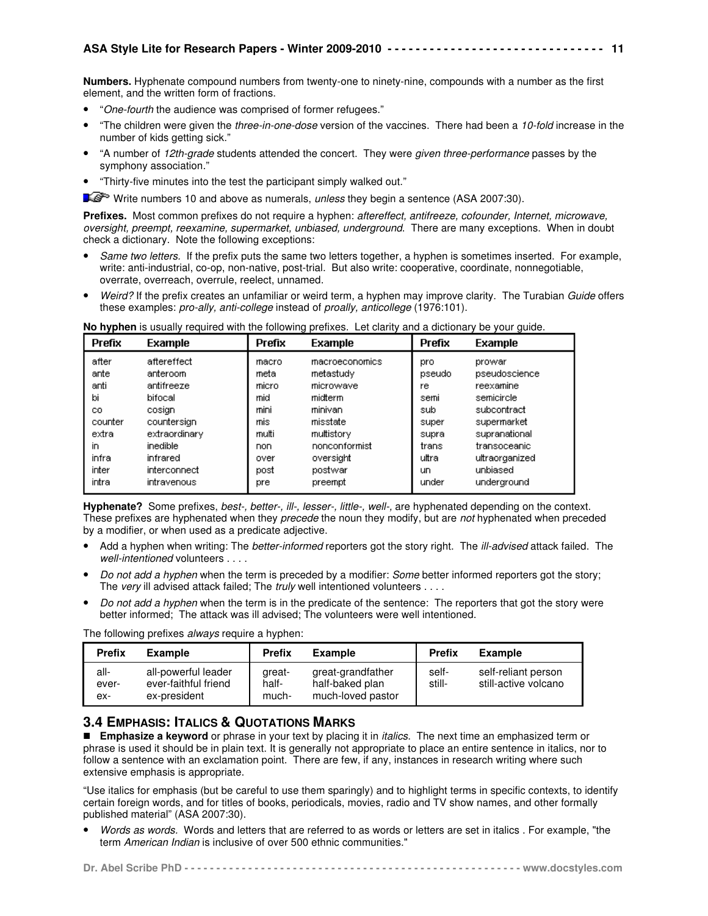**Numbers.** Hyphenate compound numbers from twenty-one to ninety-nine, compounds with a number as the first element, and the written form of fractions.

- "One-fourth the audience was comprised of former refugees."
- "The children were given the three-in-one-dose version of the vaccines. There had been a 10-fold increase in the number of kids getting sick."
- "A number of 12th-grade students attended the concert. They were given three-performance passes by the symphony association."
- "Thirty-five minutes into the test the participant simply walked out."

Write numbers 10 and above as numerals, unless they begin a sentence (ASA 2007:30).

Prefixes. Most common prefixes do not require a hyphen: aftereffect, antifreeze, cofounder, Internet, microwave, oversight, preempt, reexamine, supermarket, unbiased, underground. There are many exceptions. When in doubt check a dictionary. Note the following exceptions:

- Same two letters. If the prefix puts the same two letters together, a hyphen is sometimes inserted. For example, write: anti-industrial, co-op, non-native, post-trial. But also write: cooperative, coordinate, nonnegotiable, overrate, overreach, overrule, reelect, unnamed.
- Weird? If the prefix creates an unfamiliar or weird term, a hyphen may improve clarity. The Turabian Guide offers these examples: pro-ally, anti-college instead of proally, anticollege (1976:101).

| Prefix  | Example       | Prefix | <b>Example</b> | Prefix | <b>Example</b> |
|---------|---------------|--------|----------------|--------|----------------|
| after   | aftereffect   | macro  | macroeconomics | pro    | prowar         |
| ante    | anteroom      | meta   | metastudy      | pseudo | pseudoscience  |
| anti    | antifreeze    | micro  | microwave      | re     | reexamine      |
| bi      | bifocal       | mid    | midterm        | semi   | semicircle     |
| CO.     | cosian        | mini   | minivan        | sub    | subcontract    |
| counter | countersign   | mis    | misstate       | super  | supermarket    |
| extra   | extraordinary | multi  | multistory     | supra  | supranational  |
| in      | inedible      | non    | nonconformist  | trans  | transoceanic   |
| infra   | infrared      | over   | oversight      | ultra  | ultraorganized |
| inter   | interconnect  | post   | postwar        | un.    | unbiased       |
| intra   | intravenous   | pre    | preempt        | under  | underground    |

**No hyphen** is usually required with the following prefixes. Let clarity and a dictionary be your guide.

**Hyphenate?** Some prefixes, best-, better-, ill-, lesser-, little-, well-, are hyphenated depending on the context. These prefixes are hyphenated when they precede the noun they modify, but are not hyphenated when preceded by a modifier, or when used as a predicate adjective.

- Add a hyphen when writing: The better-informed reporters got the story right. The ill-advised attack failed. The well-intentioned volunteers . . . .
- Do not add a hyphen when the term is preceded by a modifier: Some better informed reporters got the story; The very ill advised attack failed; The *truly* well intentioned volunteers . . . .
- Do not add a hyphen when the term is in the predicate of the sentence: The reporters that got the story were better informed; The attack was ill advised; The volunteers were well intentioned.

The following prefixes *always* require a hyphen:

| <b>Prefix</b>        | <b>Example</b>                                              | <b>Prefix</b>            | <b>Example</b>                                            | <b>Prefix</b>   | <b>Example</b>                              |
|----------------------|-------------------------------------------------------------|--------------------------|-----------------------------------------------------------|-----------------|---------------------------------------------|
| all-<br>ever-<br>ex- | all-powerful leader<br>ever-faithful friend<br>ex-president | great-<br>half-<br>much- | great-grandfather<br>half-baked plan<br>much-loved pastor | self-<br>still- | self-reliant person<br>still-active volcano |

# **3.4 EMPHASIS: ITALICS & QUOTATIONS MARKS**

**Emphasize a keyword** or phrase in your text by placing it in *italics*. The next time an emphasized term or phrase is used it should be in plain text. It is generally not appropriate to place an entire sentence in italics, nor to follow a sentence with an exclamation point. There are few, if any, instances in research writing where such extensive emphasis is appropriate.

"Use italics for emphasis (but be careful to use them sparingly) and to highlight terms in specific contexts, to identify certain foreign words, and for titles of books, periodicals, movies, radio and TV show names, and other formally published material" (ASA 2007:30).

• Words as words. Words and letters that are referred to as words or letters are set in italics . For example, "the term American Indian is inclusive of over 500 ethnic communities."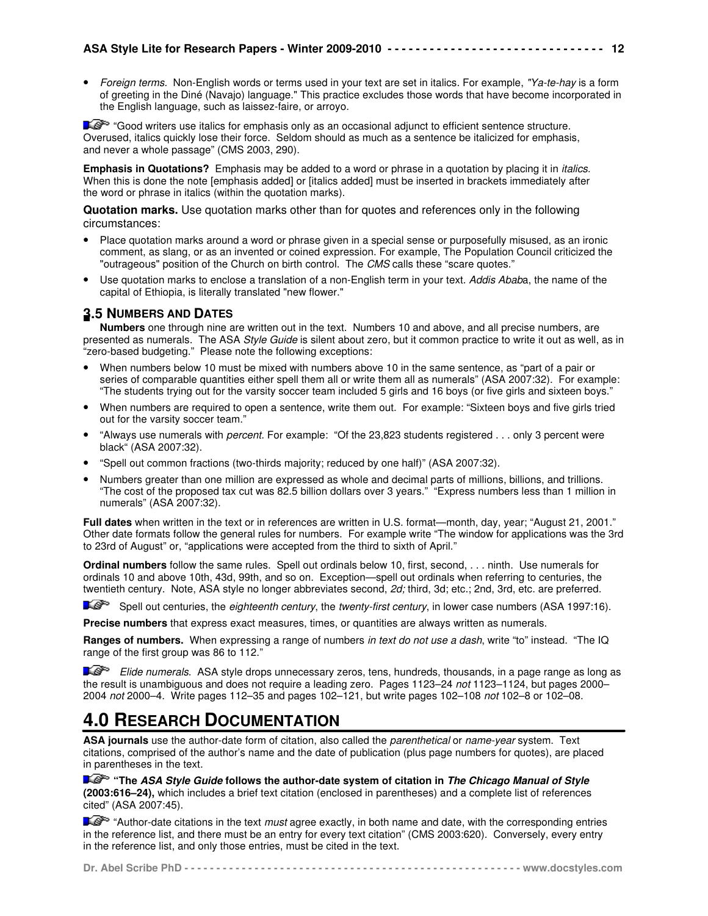Foreign terms. Non-English words or terms used in your text are set in italics. For example, "Ya-te-hay is a form of greeting in the Diné (Navajo) language." This practice excludes those words that have become incorporated in the English language, such as laissez-faire, or arroyo.

12**2221-12**<br>12

"Good writers use italics for emphasis only as an occasional adjunct to efficient sentence structure. Overused, italics quickly lose their force. Seldom should as much as a sentence be italicized for emphasis, and never a whole passage" (CMS 2003, 290).

**Emphasis in Quotations?** Emphasis may be added to a word or phrase in a quotation by placing it in italics. When this is done the note [emphasis added] or [italics added] must be inserted in brackets immediately after the word or phrase in italics (within the quotation marks).

**Quotation marks.** Use quotation marks other than for quotes and references only in the following circumstances:

- Place quotation marks around a word or phrase given in a special sense or purposefully misused, as an ironic comment, as slang, or as an invented or coined expression. For example, The Population Council criticized the "outrageous" position of the Church on birth control. The CMS calls these "scare quotes."
- Use quotation marks to enclose a translation of a non-English term in your text. Addis Ababa, the name of the capital of Ethiopia, is literally translated "new flower."

# **3.5 NUMBERS AND DATES**

**Numbers** one through nine are written out in the text. Numbers 10 and above, and all precise numbers, are presented as numerals. The ASA Style Guide is silent about zero, but it common practice to write it out as well, as in "zero-based budgeting." Please note the following exceptions:

- When numbers below 10 must be mixed with numbers above 10 in the same sentence, as "part of a pair or series of comparable quantities either spell them all or write them all as numerals" (ASA 2007:32). For example: "The students trying out for the varsity soccer team included 5 girls and 16 boys (or five girls and sixteen boys."
- When numbers are required to open a sentence, write them out. For example: "Sixteen boys and five girls tried out for the varsity soccer team."
- "Always use numerals with percent. For example: "Of the 23,823 students registered . . . only 3 percent were black" (ASA 2007:32).
- "Spell out common fractions (two-thirds majority; reduced by one half)" (ASA 2007:32).
- Numbers greater than one million are expressed as whole and decimal parts of millions, billions, and trillions. "The cost of the proposed tax cut was 82.5 billion dollars over 3 years." "Express numbers less than 1 million in numerals" (ASA 2007:32).

**Full dates** when written in the text or in references are written in U.S. format—month, day, year; "August 21, 2001." Other date formats follow the general rules for numbers. For example write "The window for applications was the 3rd to 23rd of August" or, "applications were accepted from the third to sixth of April."

**Ordinal numbers** follow the same rules. Spell out ordinals below 10, first, second, . . . ninth. Use numerals for ordinals 10 and above 10th, 43d, 99th, and so on. Exception—spell out ordinals when referring to centuries, the twentieth century. Note, ASA style no longer abbreviates second, 2d; third, 3d; etc.; 2nd, 3rd, etc. are preferred.

**Spell out centuries, the eighteenth century, the twenty-first century, in lower case numbers (ASA 1997:16).** 

**Precise numbers** that express exact measures, times, or quantities are always written as numerals.

**Ranges of numbers.** When expressing a range of numbers in text do not use a dash, write "to" instead. "The IQ range of the first group was 86 to 112."

**Elide numerals.** ASA style drops unnecessary zeros, tens, hundreds, thousands, in a page range as long as the result is unambiguous and does not require a leading zero. Pages 1123–24 not 1123–1124, but pages 2000– 2004 not 2000–4. Write pages 112–35 and pages 102–121, but write pages 102–108 not 102–8 or 102–08.

# **4.0 RESEARCH DOCUMENTATION**

**ASA journals** use the author-date form of citation, also called the parenthetical or name-year system. Text citations, comprised of the author's name and the date of publication (plus page numbers for quotes), are placed in parentheses in the text.

**"The ASA Style Guide follows the author-date system of citation in The Chicago Manual of Style (2003:616–24),** which includes a brief text citation (enclosed in parentheses) and a complete list of references cited" (ASA 2007:45).

 $\blacktriangleright$  "Author-date citations in the text *must* agree exactly, in both name and date, with the corresponding entries in the reference list, and there must be an entry for every text citation" (CMS 2003:620). Conversely, every entry in the reference list, and only those entries, must be cited in the text.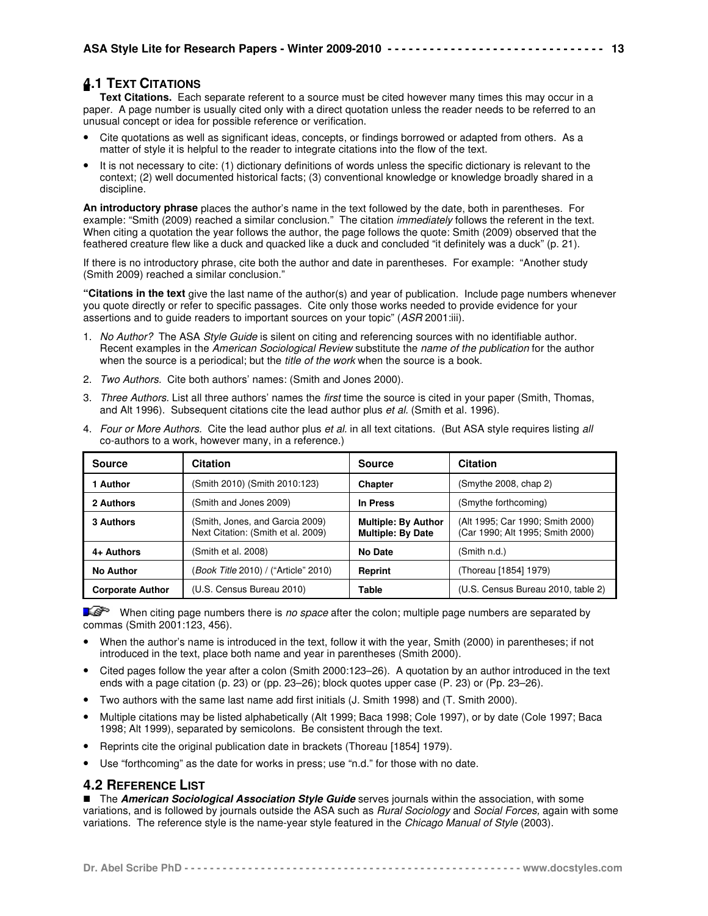# **4.1 TEXT CITATIONS**

■ **Text Citations.** Each separate referent to a source must be cited however many times this may occur in a paper. A page number is usually cited only with a direct quotation unless the reader needs to be referred to an unusual concept or idea for possible reference or verification.

- Cite quotations as well as significant ideas, concepts, or findings borrowed or adapted from others. As a matter of style it is helpful to the reader to integrate citations into the flow of the text.
- It is not necessary to cite: (1) dictionary definitions of words unless the specific dictionary is relevant to the context; (2) well documented historical facts; (3) conventional knowledge or knowledge broadly shared in a discipline.

**An introductory phrase** places the author's name in the text followed by the date, both in parentheses. For example: "Smith (2009) reached a similar conclusion." The citation *immediately* follows the referent in the text. When citing a quotation the year follows the author, the page follows the quote: Smith (2009) observed that the feathered creature flew like a duck and quacked like a duck and concluded "it definitely was a duck" (p. 21).

If there is no introductory phrase, cite both the author and date in parentheses. For example: "Another study (Smith 2009) reached a similar conclusion."

**"Citations in the text** give the last name of the author(s) and year of publication. Include page numbers whenever you quote directly or refer to specific passages. Cite only those works needed to provide evidence for your assertions and to guide readers to important sources on your topic" (ASR 2001:iii).

- 1. No Author? The ASA Style Guide is silent on citing and referencing sources with no identifiable author. Recent examples in the American Sociological Review substitute the name of the publication for the author when the source is a periodical; but the *title of the work* when the source is a book.
- 2. Two Authors. Cite both authors' names: (Smith and Jones 2000).

Next Citation: (Smith et al. 2009)

3. Three Authors. List all three authors' names the first time the source is cited in your paper (Smith, Thomas, and Alt 1996). Subsequent citations cite the lead author plus et al. (Smith et al. 1996).

|               | 4. Todi of More Additions. One the lead addition plus et al. In all leat challons. Tour ASA style requires ilsting all<br>co-authors to a work, however many, in a reference.) |                            |                                  |
|---------------|--------------------------------------------------------------------------------------------------------------------------------------------------------------------------------|----------------------------|----------------------------------|
| <b>Source</b> | <b>Citation</b>                                                                                                                                                                | <b>Source</b>              | <b>Citation</b>                  |
| 1 Author      | (Smith 2010) (Smith 2010:123)                                                                                                                                                  | <b>Chapter</b>             | (Smythe 2008, chap 2)            |
| 2 Authors     | (Smith and Jones 2009)                                                                                                                                                         | In Press                   | (Smythe forthcoming)             |
| 3 Authors     | (Smith, Jones, and Garcia 2009)                                                                                                                                                | <b>Multiple: By Author</b> | (Alt 1995; Car 1990; Smith 2000) |

**Multiple: By Date**

(Car 1990; Alt 1995; Smith 2000)

Four or More Authors. Cite the lead author plus et al. in all text citations. (But ASA style requires listing all

When citing page numbers there is no space after the colon; multiple page numbers are separated by commas (Smith 2001:123, 456).

**Corporate Author** (U.S. Census Bureau 2010) **Table** (U.S. Census Bureau 2010, table 2)

- When the author's name is introduced in the text, follow it with the year, Smith (2000) in parentheses; if not introduced in the text, place both name and year in parentheses (Smith 2000).
- Cited pages follow the year after a colon (Smith 2000:123–26). A quotation by an author introduced in the text ends with a page citation (p. 23) or (pp. 23–26); block quotes upper case (P. 23) or (Pp. 23–26).
- Two authors with the same last name add first initials (J. Smith 1998) and (T. Smith 2000).

**4+ Authors** (Smith et al. 2008) **No Date** (Smith n.d.)

**No Author** (Book Title 2010) / ("Article" 2010) **Reprint** (Thoreau [1854] 1979)

- Multiple citations may be listed alphabetically (Alt 1999; Baca 1998; Cole 1997), or by date (Cole 1997; Baca 1998; Alt 1999), separated by semicolons. Be consistent through the text.
- Reprints cite the original publication date in brackets (Thoreau [1854] 1979).
- Use "forthcoming" as the date for works in press; use "n.d." for those with no date.

# **4.2 REFERENCE LIST**

**The American Sociological Association Style Guide** serves journals within the association, with some variations, and is followed by journals outside the ASA such as *Rural Sociology* and Social Forces, again with some variations. The reference style is the name-year style featured in the Chicago Manual of Style (2003).

|--|--|--|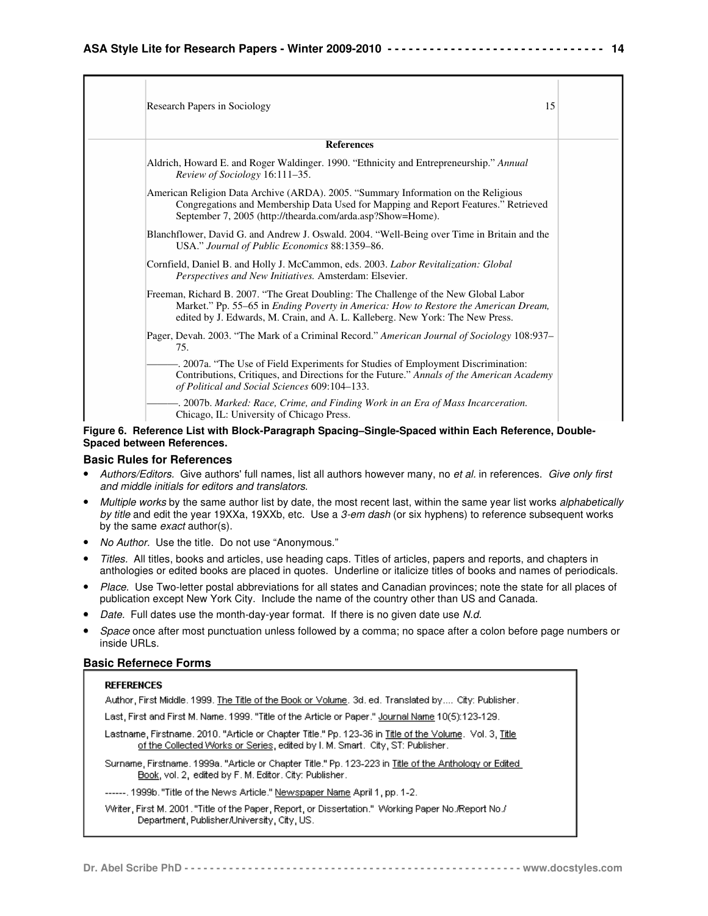| Research Papers in Sociology                                                                                                                                                                                                                                 | 15 |
|--------------------------------------------------------------------------------------------------------------------------------------------------------------------------------------------------------------------------------------------------------------|----|
| <b>References</b>                                                                                                                                                                                                                                            |    |
| Aldrich, Howard E. and Roger Waldinger. 1990. "Ethnicity and Entrepreneurship." Annual<br>Review of Sociology 16:111-35.                                                                                                                                     |    |
| American Religion Data Archive (ARDA). 2005. "Summary Information on the Religious<br>Congregations and Membership Data Used for Mapping and Report Features." Retrieved<br>September 7, 2005 (http://thearda.com/arda.asp?Show=Home).                       |    |
| Blanchflower, David G. and Andrew J. Oswald. 2004. "Well-Being over Time in Britain and the<br>USA." Journal of Public Economics 88:1359–86.                                                                                                                 |    |
| Cornfield, Daniel B. and Holly J. McCammon, eds. 2003. Labor Revitalization: Global<br>Perspectives and New Initiatives. Amsterdam: Elsevier.                                                                                                                |    |
| Freeman, Richard B. 2007. "The Great Doubling: The Challenge of the New Global Labor<br>Market." Pp. 55-65 in Ending Poverty in America: How to Restore the American Dream,<br>edited by J. Edwards, M. Crain, and A. L. Kalleberg. New York: The New Press. |    |
| Pager, Devah. 2003. "The Mark of a Criminal Record." American Journal of Sociology 108:937–<br>75.                                                                                                                                                           |    |
| -. 2007a. "The Use of Field Experiments for Studies of Employment Discrimination:<br>Contributions, Critiques, and Directions for the Future." Annals of the American Academy<br>of Political and Social Sciences 609:104-133.                               |    |
| -. 2007b. Marked: Race, Crime, and Finding Work in an Era of Mass Incarceration.<br>Chicago, IL: University of Chicago Press.                                                                                                                                |    |

#### **Figure 6. Reference List with Block-Paragraph Spacing–Single-Spaced within Each Reference, Double-Spaced between References.**

#### **Basic Rules for References**

- Authors/Editors. Give authors' full names, list all authors however many, no et al. in references. Give only first and middle initials for editors and translators.
- Multiple works by the same author list by date, the most recent last, within the same year list works alphabetically by title and edit the year 19XXa, 19XXb, etc. Use a 3-em dash (or six hyphens) to reference subsequent works by the same exact author(s).
- No Author. Use the title. Do not use "Anonymous."
- Titles. All titles, books and articles, use heading caps. Titles of articles, papers and reports, and chapters in anthologies or edited books are placed in quotes. Underline or italicize titles of books and names of periodicals.
- Place. Use Two-letter postal abbreviations for all states and Canadian provinces; note the state for all places of publication except New York City. Include the name of the country other than US and Canada.
- Date. Full dates use the month-day-year format. If there is no given date use N.d.
- Space once after most punctuation unless followed by a comma; no space after a colon before page numbers or inside URLs.

#### **Basic Refernece Forms**

#### **REFERENCES**

Author, First Middle. 1999. The Title of the Book or Volume. 3d. ed. Translated by.... City: Publisher.

Last, First and First M. Name. 1999. "Title of the Article or Paper." Journal Name 10(5):123-129.

Lastname, Firstname. 2010. "Article or Chapter Title." Pp. 123-36 in Title of the Volume. Vol. 3, Title of the Collected Works or Series, edited by I. M. Smart. City, ST: Publisher.

Surname, Firstname. 1999a. "Article or Chapter Title." Pp. 123-223 in Title of the Anthology or Edited Book, vol. 2, edited by F. M. Editor. City: Publisher.

------. 1999b. "Title of the News Article." Newspaper Name April 1, pp. 1-2.

Writer, First M. 2001. "Title of the Paper, Report, or Dissertation." Working Paper No./Report No./ Department, Publisher/University, City, US.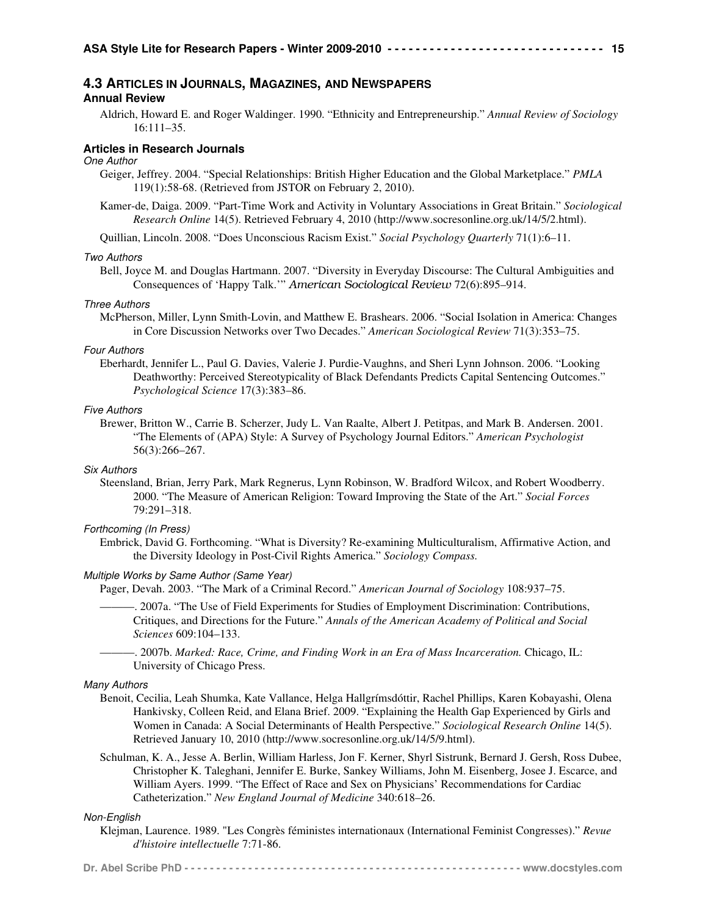## **4.3 ARTICLES IN JOURNALS, MAGAZINES, AND NEWSPAPERS**

### **Annual Review**

Aldrich, Howard E. and Roger Waldinger. 1990. "Ethnicity and Entrepreneurship." *Annual Review of Sociology* 16:111–35.

#### **Articles in Research Journals**

#### One Author

- Geiger, Jeffrey. 2004. "Special Relationships: British Higher Education and the Global Marketplace." *PMLA* 119(1):58-68. (Retrieved from JSTOR on February 2, 2010).
- Kamer-de, Daiga. 2009. "Part-Time Work and Activity in Voluntary Associations in Great Britain." *Sociological Research Online* 14(5). Retrieved February 4, 2010 (http://www.socresonline.org.uk/14/5/2.html).

Quillian, Lincoln. 2008. "Does Unconscious Racism Exist." *Social Psychology Quarterly* 71(1):6–11.

#### Two Authors

Bell, Joyce M. and Douglas Hartmann. 2007. "Diversity in Everyday Discourse: The Cultural Ambiguities and Consequences of 'Happy Talk.'" *American Sociological Review* 72(6):895–914.

#### Three Authors

McPherson, Miller, Lynn Smith-Lovin, and Matthew E. Brashears. 2006. "Social Isolation in America: Changes in Core Discussion Networks over Two Decades." *American Sociological Review* 71(3):353–75.

#### Four Authors

Eberhardt, Jennifer L., Paul G. Davies, Valerie J. Purdie-Vaughns, and Sheri Lynn Johnson. 2006. "Looking Deathworthy: Perceived Stereotypicality of Black Defendants Predicts Capital Sentencing Outcomes." *Psychological Science* 17(3):383–86.

#### Five Authors

Brewer, Britton W., Carrie B. Scherzer, Judy L. Van Raalte, Albert J. Petitpas, and Mark B. Andersen. 2001. "The Elements of (APA) Style: A Survey of Psychology Journal Editors." *American Psychologist* 56(3):266–267.

#### Six Authors

Steensland, Brian, Jerry Park, Mark Regnerus, Lynn Robinson, W. Bradford Wilcox, and Robert Woodberry. 2000. "The Measure of American Religion: Toward Improving the State of the Art." *Social Forces* 79:291–318.

#### Forthcoming (In Press)

Embrick, David G. Forthcoming. "What is Diversity? Re-examining Multiculturalism, Affirmative Action, and the Diversity Ideology in Post-Civil Rights America." *Sociology Compass.*

#### Multiple Works by Same Author (Same Year)

Pager, Devah. 2003. "The Mark of a Criminal Record." *American Journal of Sociology* 108:937–75.

- ———. 2007a. "The Use of Field Experiments for Studies of Employment Discrimination: Contributions, Critiques, and Directions for the Future." *Annals of the American Academy of Political and Social Sciences* 609:104–133.
- ———. 2007b. *Marked: Race, Crime, and Finding Work in an Era of Mass Incarceration.* Chicago, IL: University of Chicago Press.

#### Many Authors

- Benoit, Cecilia, Leah Shumka, Kate Vallance, Helga Hallgrímsdóttir, Rachel Phillips, Karen Kobayashi, Olena Hankivsky, Colleen Reid, and Elana Brief. 2009. "Explaining the Health Gap Experienced by Girls and Women in Canada: A Social Determinants of Health Perspective." *Sociological Research Online* 14(5). Retrieved January 10, 2010 (http://www.socresonline.org.uk/14/5/9.html).
- Schulman, K. A., Jesse A. Berlin, William Harless, Jon F. Kerner, Shyrl Sistrunk, Bernard J. Gersh, Ross Dubee, Christopher K. Taleghani, Jennifer E. Burke, Sankey Williams, John M. Eisenberg, Josee J. Escarce, and William Ayers. 1999. "The Effect of Race and Sex on Physicians' Recommendations for Cardiac Catheterization." *New England Journal of Medicine* 340:618–26.

#### Non-English

Klejman, Laurence. 1989. "Les Congrès féministes internationaux (International Feminist Congresses)." *Revue d'histoire intellectuelle* 7:71-86.

|--|--|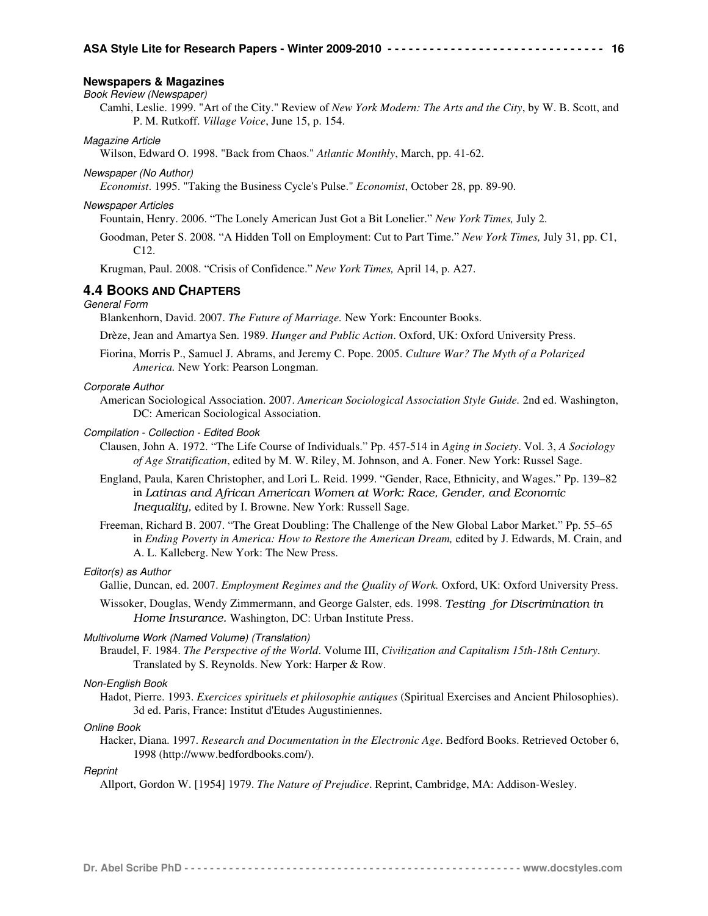#### **Newspapers & Magazines**

#### Book Review (Newspaper)

Camhi, Leslie. 1999. "Art of the City." Review of *New York Modern: The Arts and the City*, by W. B. Scott, and P. M. Rutkoff. *Village Voice*, June 15, p. 154.

#### Magazine Article

Wilson, Edward O. 1998. "Back from Chaos." *Atlantic Monthly*, March, pp. 41-62.

#### Newspaper (No Author)

*Economist*. 1995. "Taking the Business Cycle's Pulse." *Economist*, October 28, pp. 89-90.

#### Newspaper Articles

Fountain, Henry. 2006. "The Lonely American Just Got a Bit Lonelier." *New York Times,* July 2.

Goodman, Peter S. 2008. "A Hidden Toll on Employment: Cut to Part Time." *New York Times,* July 31, pp. C1, C12.

Krugman, Paul. 2008. "Crisis of Confidence." *New York Times,* April 14, p. A27.

## **4.4 BOOKS AND CHAPTERS**

## General Form

Blankenhorn, David. 2007. *The Future of Marriage.* New York: Encounter Books.

Drèze, Jean and Amartya Sen. 1989. *Hunger and Public Action*. Oxford, UK: Oxford University Press.

Fiorina, Morris P., Samuel J. Abrams, and Jeremy C. Pope. 2005. *Culture War? The Myth of a Polarized America.* New York: Pearson Longman.

#### Corporate Author

American Sociological Association. 2007. *American Sociological Association Style Guide.* 2nd ed. Washington, DC: American Sociological Association.

#### Compilation - Collection - Edited Book

- Clausen, John A. 1972. "The Life Course of Individuals." Pp. 457-514 in *Aging in Society*. Vol. 3, *A Sociology of Age Stratification*, edited by M. W. Riley, M. Johnson, and A. Foner. New York: Russel Sage.
- England, Paula, Karen Christopher, and Lori L. Reid. 1999. "Gender, Race, Ethnicity, and Wages." Pp. 139–82 in *Latinas and African American Women at Work: Race, Gender, and Economic Inequality,* edited by I. Browne. New York: Russell Sage.
- Freeman, Richard B. 2007. "The Great Doubling: The Challenge of the New Global Labor Market." Pp. 55–65 in *Ending Poverty in America: How to Restore the American Dream,* edited by J. Edwards, M. Crain, and A. L. Kalleberg. New York: The New Press.

### Editor(s) as Author

Gallie, Duncan, ed. 2007. *Employment Regimes and the Quality of Work.* Oxford, UK: Oxford University Press.

Wissoker, Douglas, Wendy Zimmermann, and George Galster, eds. 1998. *Testing for Discrimination in Home Insurance.* Washington, DC: Urban Institute Press.

#### Multivolume Work (Named Volume) (Translation)

Braudel, F. 1984. *The Perspective of the World*. Volume III, *Civilization and Capitalism 15th-18th Century*. Translated by S. Reynolds. New York: Harper & Row.

#### Non-English Book

Hadot, Pierre. 1993. *Exercices spirituels et philosophie antiques* (Spiritual Exercises and Ancient Philosophies). 3d ed. Paris, France: Institut d'Etudes Augustiniennes.

#### Online Book

Hacker, Diana. 1997. *Research and Documentation in the Electronic Age*. Bedford Books. Retrieved October 6, 1998 (http://www.bedfordbooks.com/).

#### **Reprint**

Allport, Gordon W. [1954] 1979. *The Nature of Prejudice*. Reprint, Cambridge, MA: Addison-Wesley.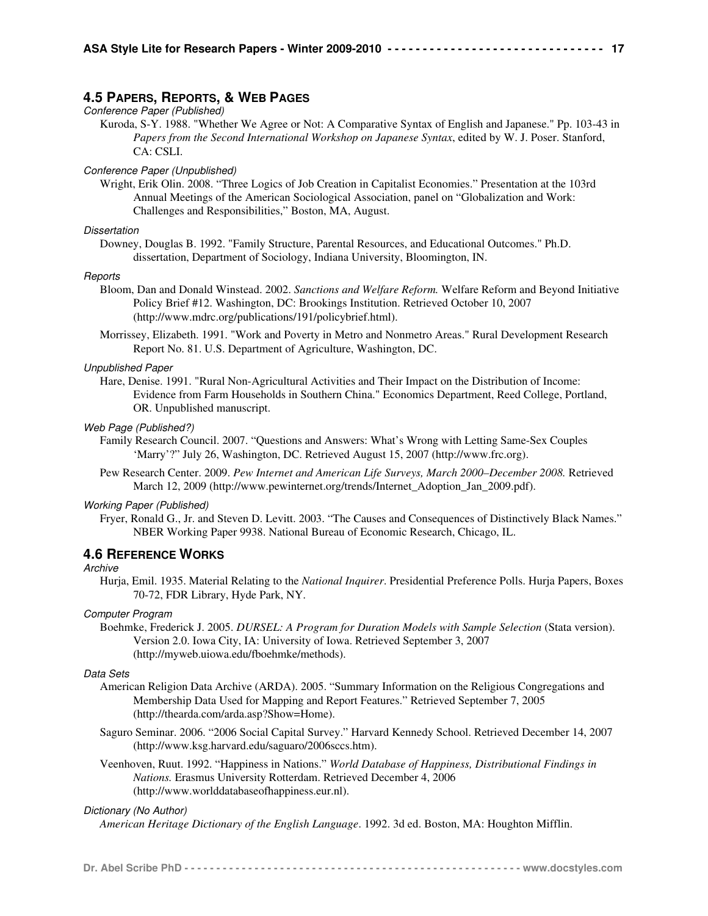## **4.5 PAPERS, REPORTS, & WEB PAGES**

## Conference Paper (Published)

Kuroda, S-Y. 1988. "Whether We Agree or Not: A Comparative Syntax of English and Japanese." Pp. 103-43 in *Papers from the Second International Workshop on Japanese Syntax*, edited by W. J. Poser. Stanford, CA: CSLI.

#### Conference Paper (Unpublished)

Wright, Erik Olin. 2008. "Three Logics of Job Creation in Capitalist Economies." Presentation at the 103rd Annual Meetings of the American Sociological Association, panel on "Globalization and Work: Challenges and Responsibilities," Boston, MA, August.

### **Dissertation**

Downey, Douglas B. 1992. "Family Structure, Parental Resources, and Educational Outcomes." Ph.D. dissertation, Department of Sociology, Indiana University, Bloomington, IN.

#### Reports

- Bloom, Dan and Donald Winstead. 2002. *Sanctions and Welfare Reform.* Welfare Reform and Beyond Initiative Policy Brief #12. Washington, DC: Brookings Institution. Retrieved October 10, 2007 (http://www.mdrc.org/publications/191/policybrief.html).
- Morrissey, Elizabeth. 1991. "Work and Poverty in Metro and Nonmetro Areas." Rural Development Research Report No. 81. U.S. Department of Agriculture, Washington, DC.

#### Unpublished Paper

Hare, Denise. 1991. "Rural Non-Agricultural Activities and Their Impact on the Distribution of Income: Evidence from Farm Households in Southern China." Economics Department, Reed College, Portland, OR. Unpublished manuscript.

#### Web Page (Published?)

- Family Research Council. 2007. "Questions and Answers: What's Wrong with Letting Same-Sex Couples 'Marry'?" July 26, Washington, DC. Retrieved August 15, 2007 (http://www.frc.org).
- Pew Research Center. 2009. *Pew Internet and American Life Surveys, March 2000–December 2008.* Retrieved March 12, 2009 (http://www.pewinternet.org/trends/Internet\_Adoption\_Jan\_2009.pdf).

#### Working Paper (Published)

Fryer, Ronald G., Jr. and Steven D. Levitt. 2003. "The Causes and Consequences of Distinctively Black Names." NBER Working Paper 9938. National Bureau of Economic Research, Chicago, IL.

#### **4.6 REFERENCE WORKS**

#### **Archive**

Hurja, Emil. 1935. Material Relating to the *National Inquirer*. Presidential Preference Polls. Hurja Papers, Boxes 70-72, FDR Library, Hyde Park, NY.

#### Computer Program

Boehmke, Frederick J. 2005. *DURSEL: A Program for Duration Models with Sample Selection* (Stata version). Version 2.0. Iowa City, IA: University of Iowa. Retrieved September 3, 2007 (http://myweb.uiowa.edu/fboehmke/methods).

#### Data Sets

- American Religion Data Archive (ARDA). 2005. "Summary Information on the Religious Congregations and Membership Data Used for Mapping and Report Features." Retrieved September 7, 2005 (http://thearda.com/arda.asp?Show=Home).
- Saguro Seminar. 2006. "2006 Social Capital Survey." Harvard Kennedy School. Retrieved December 14, 2007 (http://www.ksg.harvard.edu/saguaro/2006sccs.htm).
- Veenhoven, Ruut. 1992. "Happiness in Nations." *World Database of Happiness, Distributional Findings in Nations.* Erasmus University Rotterdam. Retrieved December 4, 2006 (http://www.worlddatabaseofhappiness.eur.nl).

#### Dictionary (No Author)

*American Heritage Dictionary of the English Language*. 1992. 3d ed. Boston, MA: Houghton Mifflin.

**Dr. Abel Scribe PhD - - - - - - - - - - - - - - - - - - - - - - - - - - - - - - - - - - - - - - - - - - - - - - - - - - - - - www.docstyles.com**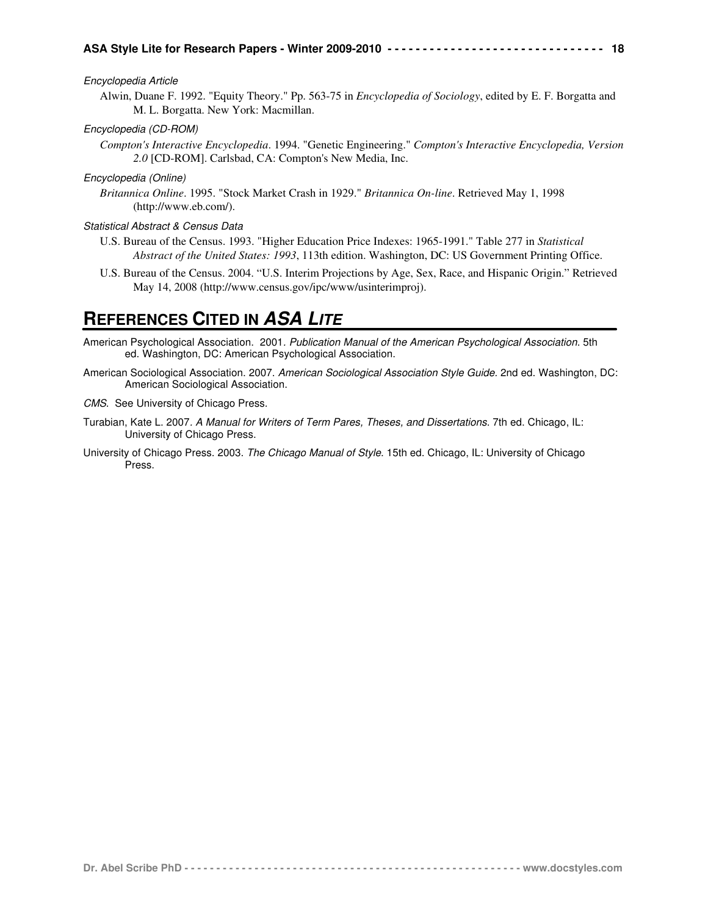### Encyclopedia Article

Alwin, Duane F. 1992. "Equity Theory." Pp. 563-75 in *Encyclopedia of Sociology*, edited by E. F. Borgatta and M. L. Borgatta. New York: Macmillan.

## Encyclopedia (CD-ROM)

*Compton's Interactive Encyclopedia*. 1994. "Genetic Engineering." *Compton's Interactive Encyclopedia, Version 2.0* [CD-ROM]. Carlsbad, CA: Compton's New Media, Inc.

## Encyclopedia (Online)

*Britannica Online*. 1995. "Stock Market Crash in 1929." *Britannica On-line*. Retrieved May 1, 1998 (http://www.eb.com/).

## Statistical Abstract & Census Data

- U.S. Bureau of the Census. 1993. "Higher Education Price Indexes: 1965-1991." Table 277 in *Statistical Abstract of the United States: 1993*, 113th edition. Washington, DC: US Government Printing Office.
- U.S. Bureau of the Census. 2004. "U.S. Interim Projections by Age, Sex, Race, and Hispanic Origin." Retrieved May 14, 2008 (http://www.census.gov/ipc/www/usinterimproj).

# **REFERENCES CITED IN ASA LITE**

- American Psychological Association. 2001. Publication Manual of the American Psychological Association. 5th ed. Washington, DC: American Psychological Association.
- American Sociological Association. 2007. American Sociological Association Style Guide. 2nd ed. Washington, DC: American Sociological Association.

CMS. See University of Chicago Press.

- Turabian, Kate L. 2007. A Manual for Writers of Term Pares, Theses, and Dissertations. 7th ed. Chicago, IL: University of Chicago Press.
- University of Chicago Press. 2003. The Chicago Manual of Style. 15th ed. Chicago, IL: University of Chicago Press.